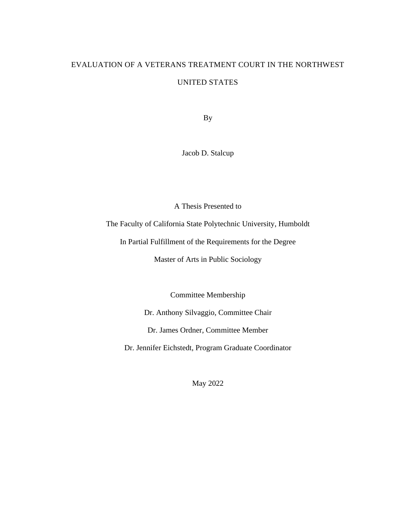# EVALUATION OF A VETERANS TREATMENT COURT IN THE NORTHWEST UNITED STATES

By

Jacob D. Stalcup

A Thesis Presented to

The Faculty of California State Polytechnic University, Humboldt

In Partial Fulfillment of the Requirements for the Degree

Master of Arts in Public Sociology

Committee Membership

Dr. Anthony Silvaggio, Committee Chair

Dr. James Ordner, Committee Member

Dr. Jennifer Eichstedt, Program Graduate Coordinator

May 2022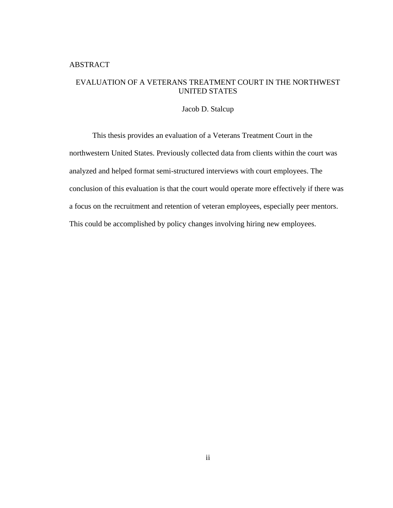# <span id="page-1-0"></span>ABSTRACT

# EVALUATION OF A VETERANS TREATMENT COURT IN THE NORTHWEST UNITED STATES

#### Jacob D. Stalcup

This thesis provides an evaluation of a Veterans Treatment Court in the northwestern United States. Previously collected data from clients within the court was analyzed and helped format semi-structured interviews with court employees. The conclusion of this evaluation is that the court would operate more effectively if there was a focus on the recruitment and retention of veteran employees, especially peer mentors. This could be accomplished by policy changes involving hiring new employees.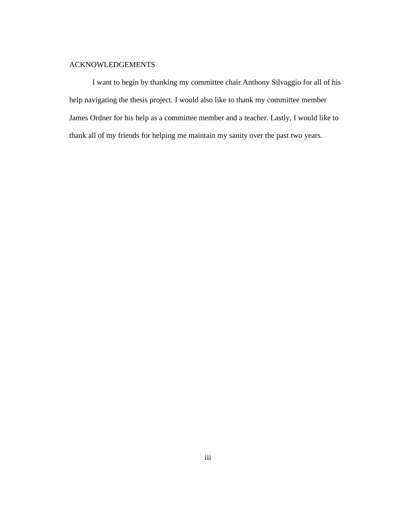# <span id="page-2-0"></span>ACKNOWLEDGEMENTS

I want to begin by thanking my committee chair Anthony Silvaggio for all of his help navigating the thesis project. I would also like to thank my committee member James Ordner for his help as a committee member and a teacher. Lastly, I would like to thank all of my friends for helping me maintain my sanity over the past two years.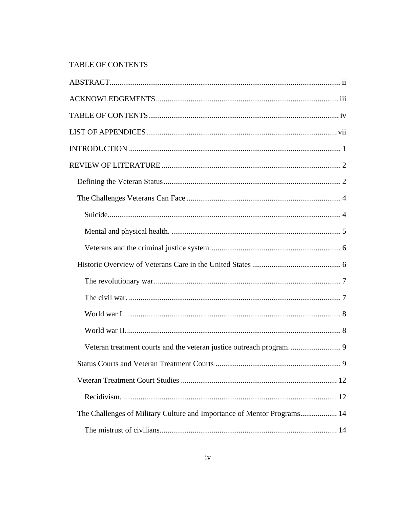# <span id="page-3-0"></span>TABLE OF CONTENTS

| Veteran treatment courts and the veteran justice outreach program 9     |   |
|-------------------------------------------------------------------------|---|
|                                                                         | 9 |
|                                                                         |   |
|                                                                         |   |
| The Challenges of Military Culture and Importance of Mentor Programs 14 |   |
|                                                                         |   |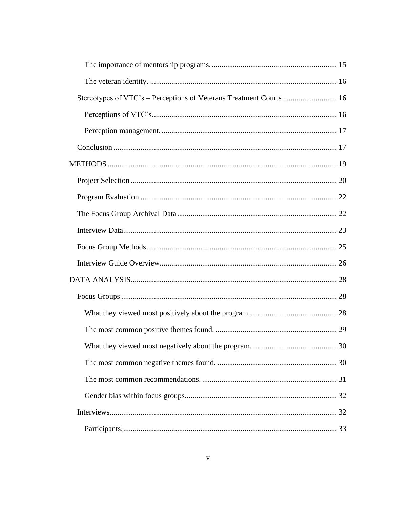| Stereotypes of VTC's - Perceptions of Veterans Treatment Courts  16 |  |
|---------------------------------------------------------------------|--|
|                                                                     |  |
|                                                                     |  |
|                                                                     |  |
|                                                                     |  |
|                                                                     |  |
|                                                                     |  |
|                                                                     |  |
|                                                                     |  |
|                                                                     |  |
|                                                                     |  |
|                                                                     |  |
|                                                                     |  |
|                                                                     |  |
|                                                                     |  |
|                                                                     |  |
|                                                                     |  |
|                                                                     |  |
|                                                                     |  |
|                                                                     |  |
|                                                                     |  |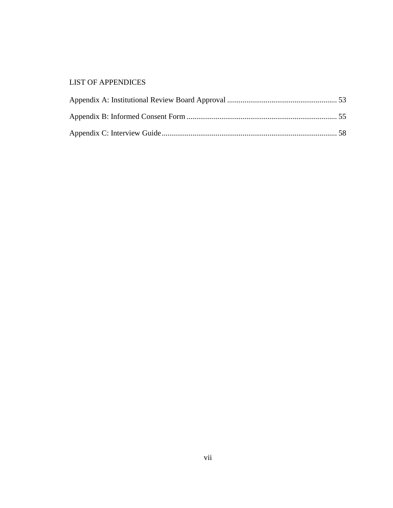# <span id="page-6-0"></span>LIST OF APPENDICES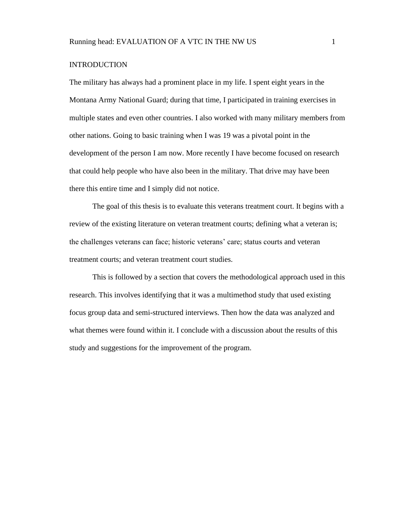# <span id="page-7-0"></span>**INTRODUCTION**

The military has always had a prominent place in my life. I spent eight years in the Montana Army National Guard; during that time, I participated in training exercises in multiple states and even other countries. I also worked with many military members from other nations. Going to basic training when I was 19 was a pivotal point in the development of the person I am now. More recently I have become focused on research that could help people who have also been in the military. That drive may have been there this entire time and I simply did not notice.

The goal of this thesis is to evaluate this veterans treatment court. It begins with a review of the existing literature on veteran treatment courts; defining what a veteran is; the challenges veterans can face; historic veterans' care; status courts and veteran treatment courts; and veteran treatment court studies.

This is followed by a section that covers the methodological approach used in this research. This involves identifying that it was a multimethod study that used existing focus group data and semi-structured interviews. Then how the data was analyzed and what themes were found within it. I conclude with a discussion about the results of this study and suggestions for the improvement of the program.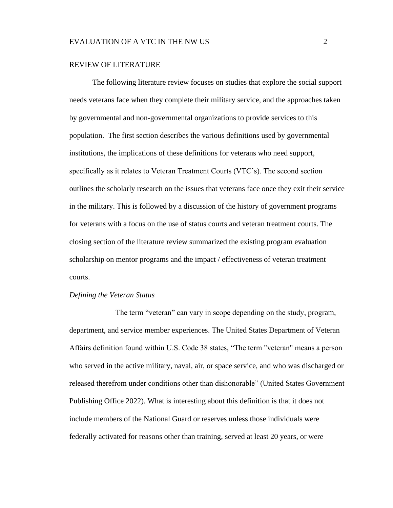#### <span id="page-8-0"></span>REVIEW OF LITERATURE

The following literature review focuses on studies that explore the social support needs veterans face when they complete their military service, and the approaches taken by governmental and non-governmental organizations to provide services to this population. The first section describes the various definitions used by governmental institutions, the implications of these definitions for veterans who need support, specifically as it relates to Veteran Treatment Courts (VTC's). The second section outlines the scholarly research on the issues that veterans face once they exit their service in the military. This is followed by a discussion of the history of government programs for veterans with a focus on the use of status courts and veteran treatment courts. The closing section of the literature review summarized the existing program evaluation scholarship on mentor programs and the impact / effectiveness of veteran treatment courts.

#### <span id="page-8-1"></span>*Defining the Veteran Status*

The term "veteran" can vary in scope depending on the study, program, department, and service member experiences. The United States Department of Veteran Affairs definition found within U.S. Code 38 states, "The term "veteran" means a person who served in the active military, naval, air, or space service, and who was discharged or released therefrom under conditions other than dishonorable" (United States Government Publishing Office 2022). What is interesting about this definition is that it does not include members of the National Guard or reserves unless those individuals were federally activated for reasons other than training, served at least 20 years, or were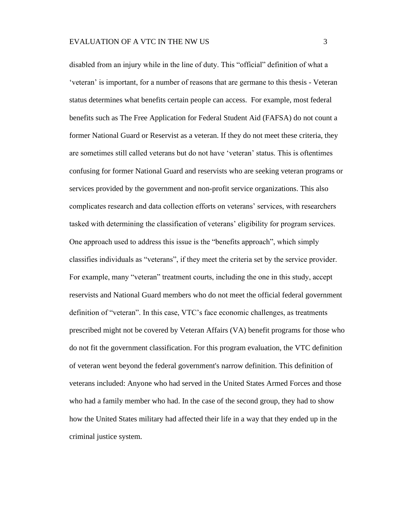disabled from an injury while in the line of duty. This "official" definition of what a 'veteran' is important, for a number of reasons that are germane to this thesis - Veteran status determines what benefits certain people can access. For example, most federal benefits such as The Free Application for Federal Student Aid (FAFSA) do not count a former National Guard or Reservist as a veteran. If they do not meet these criteria, they are sometimes still called veterans but do not have 'veteran' status. This is oftentimes confusing for former National Guard and reservists who are seeking veteran programs or services provided by the government and non-profit service organizations. This also complicates research and data collection efforts on veterans' services, with researchers tasked with determining the classification of veterans' eligibility for program services. One approach used to address this issue is the "benefits approach", which simply classifies individuals as "veterans", if they meet the criteria set by the service provider. For example, many "veteran" treatment courts, including the one in this study, accept reservists and National Guard members who do not meet the official federal government definition of "veteran". In this case, VTC's face economic challenges, as treatments prescribed might not be covered by Veteran Affairs (VA) benefit programs for those who do not fit the government classification. For this program evaluation, the VTC definition of veteran went beyond the federal government's narrow definition. This definition of veterans included: Anyone who had served in the United States Armed Forces and those who had a family member who had. In the case of the second group, they had to show how the United States military had affected their life in a way that they ended up in the criminal justice system.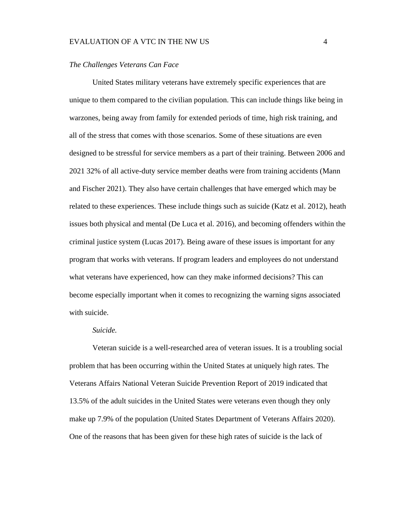## EVALUATION OF A VTC IN THE NW US 4

#### <span id="page-10-0"></span>*The Challenges Veterans Can Face*

United States military veterans have extremely specific experiences that are unique to them compared to the civilian population. This can include things like being in warzones, being away from family for extended periods of time, high risk training, and all of the stress that comes with those scenarios. Some of these situations are even designed to be stressful for service members as a part of their training. Between 2006 and 2021 32% of all active-duty service member deaths were from training accidents (Mann and Fischer 2021). They also have certain challenges that have emerged which may be related to these experiences. These include things such as suicide (Katz et al. 2012), heath issues both physical and mental (De Luca et al. 2016), and becoming offenders within the criminal justice system (Lucas 2017). Being aware of these issues is important for any program that works with veterans. If program leaders and employees do not understand what veterans have experienced, how can they make informed decisions? This can become especially important when it comes to recognizing the warning signs associated with suicide.

#### *Suicide.*

<span id="page-10-1"></span>Veteran suicide is a well-researched area of veteran issues. It is a troubling social problem that has been occurring within the United States at uniquely high rates. The Veterans Affairs National Veteran Suicide Prevention Report of 2019 indicated that 13.5% of the adult suicides in the United States were veterans even though they only make up 7.9% of the population (United States Department of Veterans Affairs 2020). One of the reasons that has been given for these high rates of suicide is the lack of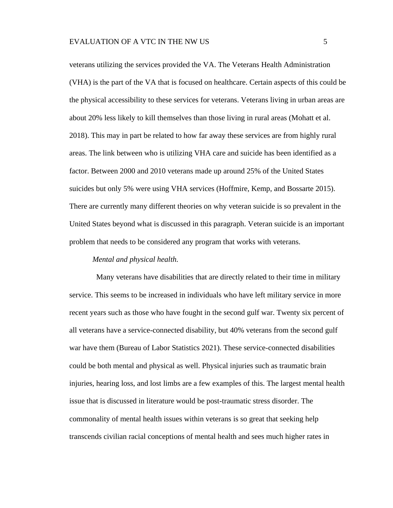veterans utilizing the services provided the VA. The Veterans Health Administration (VHA) is the part of the VA that is focused on healthcare. Certain aspects of this could be the physical accessibility to these services for veterans. Veterans living in urban areas are about 20% less likely to kill themselves than those living in rural areas (Mohatt et al. 2018). This may in part be related to how far away these services are from highly rural areas. The link between who is utilizing VHA care and suicide has been identified as a factor. Between 2000 and 2010 veterans made up around 25% of the United States suicides but only 5% were using VHA services (Hoffmire, Kemp, and Bossarte 2015). There are currently many different theories on why veteran suicide is so prevalent in the United States beyond what is discussed in this paragraph. Veteran suicide is an important problem that needs to be considered any program that works with veterans.

#### *Mental and physical health.*

<span id="page-11-0"></span> Many veterans have disabilities that are directly related to their time in military service. This seems to be increased in individuals who have left military service in more recent years such as those who have fought in the second gulf war. Twenty six percent of all veterans have a service-connected disability, but 40% veterans from the second gulf war have them (Bureau of Labor Statistics 2021). These service-connected disabilities could be both mental and physical as well. Physical injuries such as traumatic brain injuries, hearing loss, and lost limbs are a few examples of this. The largest mental health issue that is discussed in literature would be post-traumatic stress disorder. The commonality of mental health issues within veterans is so great that seeking help transcends civilian racial conceptions of mental health and sees much higher rates in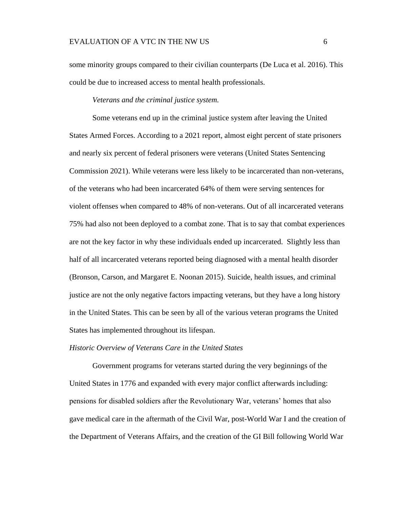some minority groups compared to their civilian counterparts (De Luca et al. 2016). This could be due to increased access to mental health professionals.

*Veterans and the criminal justice system.*

<span id="page-12-0"></span>Some veterans end up in the criminal justice system after leaving the United States Armed Forces. According to a 2021 report, almost eight percent of state prisoners and nearly six percent of federal prisoners were veterans (United States Sentencing Commission 2021). While veterans were less likely to be incarcerated than non-veterans, of the veterans who had been incarcerated 64% of them were serving sentences for violent offenses when compared to 48% of non-veterans. Out of all incarcerated veterans 75% had also not been deployed to a combat zone. That is to say that combat experiences are not the key factor in why these individuals ended up incarcerated. Slightly less than half of all incarcerated veterans reported being diagnosed with a mental health disorder (Bronson, Carson, and Margaret E. Noonan 2015). Suicide, health issues, and criminal justice are not the only negative factors impacting veterans, but they have a long history in the United States. This can be seen by all of the various veteran programs the United States has implemented throughout its lifespan.

#### <span id="page-12-1"></span>*Historic Overview of Veterans Care in the United States*

Government programs for veterans started during the very beginnings of the United States in 1776 and expanded with every major conflict afterwards including: pensions for disabled soldiers after the Revolutionary War, veterans' homes that also gave medical care in the aftermath of the Civil War, post-World War I and the creation of the Department of Veterans Affairs, and the creation of the GI Bill following World War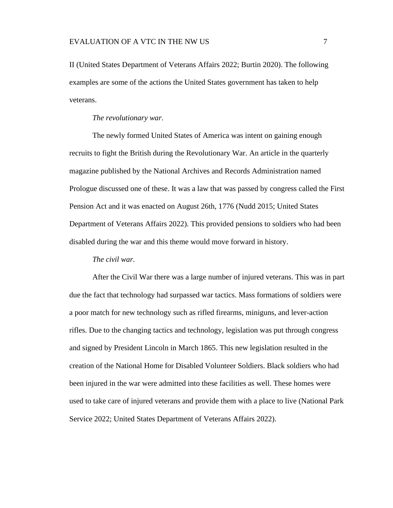II (United States Department of Veterans Affairs 2022; Burtin 2020). The following examples are some of the actions the United States government has taken to help veterans.

*The revolutionary war.*

<span id="page-13-0"></span>The newly formed United States of America was intent on gaining enough recruits to fight the British during the Revolutionary War. An article in the quarterly magazine published by the National Archives and Records Administration named Prologue discussed one of these. It was a law that was passed by congress called the First Pension Act and it was enacted on August 26th, 1776 (Nudd 2015; United States Department of Veterans Affairs 2022). This provided pensions to soldiers who had been disabled during the war and this theme would move forward in history.

*The civil war.*

<span id="page-13-1"></span>After the Civil War there was a large number of injured veterans. This was in part due the fact that technology had surpassed war tactics. Mass formations of soldiers were a poor match for new technology such as rifled firearms, miniguns, and lever-action rifles. Due to the changing tactics and technology, legislation was put through congress and signed by President Lincoln in March 1865. This new legislation resulted in the creation of the National Home for Disabled Volunteer Soldiers. Black soldiers who had been injured in the war were admitted into these facilities as well. These homes were used to take care of injured veterans and provide them with a place to live (National Park Service 2022; United States Department of Veterans Affairs 2022).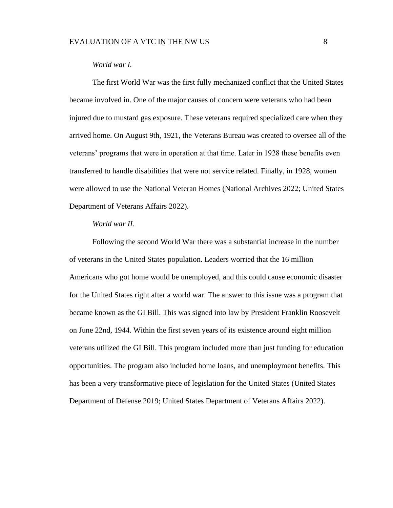#### *World war I.*

<span id="page-14-0"></span>The first World War was the first fully mechanized conflict that the United States became involved in. One of the major causes of concern were veterans who had been injured due to mustard gas exposure. These veterans required specialized care when they arrived home. On August 9th, 1921, the Veterans Bureau was created to oversee all of the veterans' programs that were in operation at that time. Later in 1928 these benefits even transferred to handle disabilities that were not service related. Finally, in 1928, women were allowed to use the National Veteran Homes (National Archives 2022; United States Department of Veterans Affairs 2022).

# *World war II.*

<span id="page-14-1"></span>Following the second World War there was a substantial increase in the number of veterans in the United States population. Leaders worried that the 16 million Americans who got home would be unemployed, and this could cause economic disaster for the United States right after a world war. The answer to this issue was a program that became known as the GI Bill. This was signed into law by President Franklin Roosevelt on June 22nd, 1944. Within the first seven years of its existence around eight million veterans utilized the GI Bill. This program included more than just funding for education opportunities. The program also included home loans, and unemployment benefits. This has been a very transformative piece of legislation for the United States (United States Department of Defense 2019; United States Department of Veterans Affairs 2022).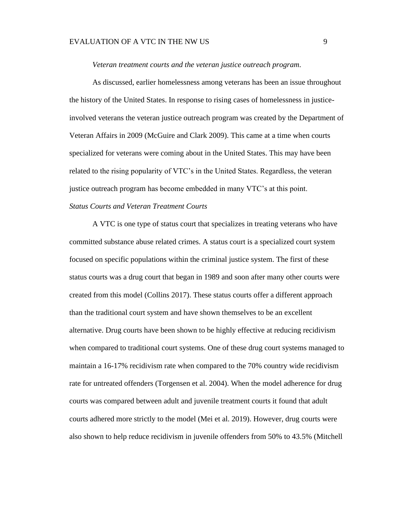#### EVALUATION OF A VTC IN THE NW US 9

#### *Veteran treatment courts and the veteran justice outreach program.*

<span id="page-15-0"></span>As discussed, earlier homelessness among veterans has been an issue throughout the history of the United States. In response to rising cases of homelessness in justiceinvolved veterans the veteran justice outreach program was created by the Department of Veteran Affairs in 2009 (McGuire and Clark 2009). This came at a time when courts specialized for veterans were coming about in the United States. This may have been related to the rising popularity of VTC's in the United States. Regardless, the veteran justice outreach program has become embedded in many VTC's at this point.

# <span id="page-15-1"></span>*Status Courts and Veteran Treatment Courts*

A VTC is one type of status court that specializes in treating veterans who have committed substance abuse related crimes. A status court is a specialized court system focused on specific populations within the criminal justice system. The first of these status courts was a drug court that began in 1989 and soon after many other courts were created from this model (Collins 2017). These status courts offer a different approach than the traditional court system and have shown themselves to be an excellent alternative. Drug courts have been shown to be highly effective at reducing recidivism when compared to traditional court systems. One of these drug court systems managed to maintain a 16-17% recidivism rate when compared to the 70% country wide recidivism rate for untreated offenders (Torgensen et al. 2004). When the model adherence for drug courts was compared between adult and juvenile treatment courts it found that adult courts adhered more strictly to the model (Mei et al. 2019). However, drug courts were also shown to help reduce recidivism in juvenile offenders from 50% to 43.5% (Mitchell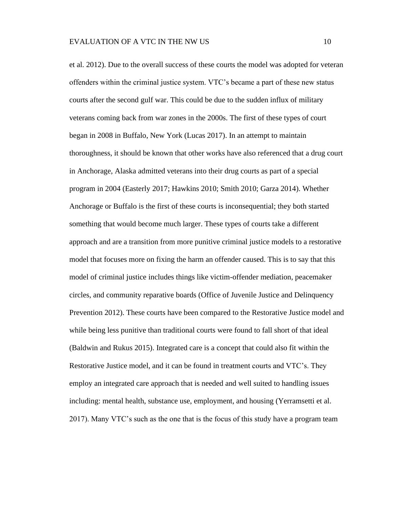et al. 2012). Due to the overall success of these courts the model was adopted for veteran offenders within the criminal justice system. VTC's became a part of these new status courts after the second gulf war. This could be due to the sudden influx of military veterans coming back from war zones in the 2000s. The first of these types of court began in 2008 in Buffalo, New York (Lucas 2017). In an attempt to maintain thoroughness, it should be known that other works have also referenced that a drug court in Anchorage, Alaska admitted veterans into their drug courts as part of a special program in 2004 (Easterly 2017; Hawkins 2010; Smith 2010; Garza 2014). Whether Anchorage or Buffalo is the first of these courts is inconsequential; they both started something that would become much larger. These types of courts take a different approach and are a transition from more punitive criminal justice models to a restorative model that focuses more on fixing the harm an offender caused. This is to say that this model of criminal justice includes things like victim-offender mediation, peacemaker circles, and community reparative boards (Office of Juvenile Justice and Delinquency Prevention 2012). These courts have been compared to the Restorative Justice model and while being less punitive than traditional courts were found to fall short of that ideal (Baldwin and Rukus 2015). Integrated care is a concept that could also fit within the Restorative Justice model, and it can be found in treatment courts and VTC's. They employ an integrated care approach that is needed and well suited to handling issues including: mental health, substance use, employment, and housing (Yerramsetti et al. 2017). Many VTC's such as the one that is the focus of this study have a program team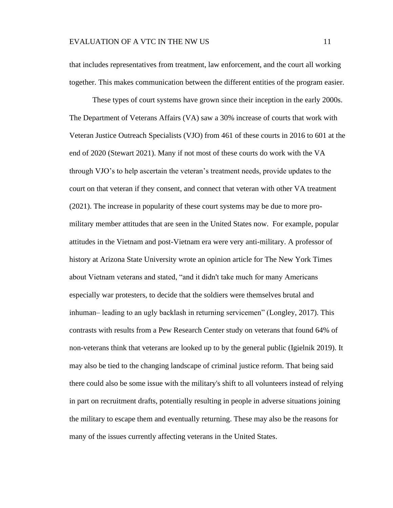that includes representatives from treatment, law enforcement, and the court all working together. This makes communication between the different entities of the program easier.

These types of court systems have grown since their inception in the early 2000s. The Department of Veterans Affairs (VA) saw a 30% increase of courts that work with Veteran Justice Outreach Specialists (VJO) from 461 of these courts in 2016 to 601 at the end of 2020 (Stewart 2021). Many if not most of these courts do work with the VA through VJO's to help ascertain the veteran's treatment needs, provide updates to the court on that veteran if they consent, and connect that veteran with other VA treatment (2021). The increase in popularity of these court systems may be due to more promilitary member attitudes that are seen in the United States now. For example, popular attitudes in the Vietnam and post-Vietnam era were very anti-military. A professor of history at Arizona State University wrote an opinion article for The New York Times about Vietnam veterans and stated, "and it didn't take much for many Americans especially war protesters, to decide that the soldiers were themselves brutal and inhuman– leading to an ugly backlash in returning servicemen" (Longley, 2017). This contrasts with results from a Pew Research Center study on veterans that found 64% of non-veterans think that veterans are looked up to by the general public (Igielnik 2019). It may also be tied to the changing landscape of criminal justice reform. That being said there could also be some issue with the military's shift to all volunteers instead of relying in part on recruitment drafts, potentially resulting in people in adverse situations joining the military to escape them and eventually returning. These may also be the reasons for many of the issues currently affecting veterans in the United States.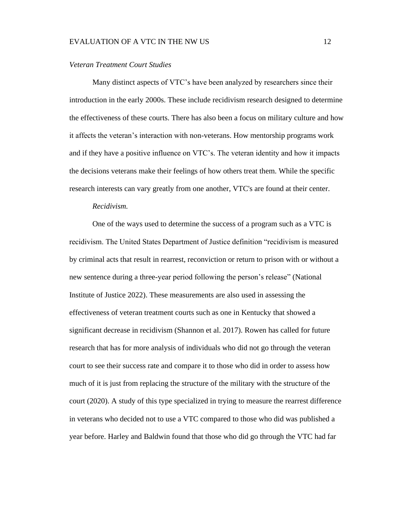#### EVALUATION OF A VTC IN THE NW US 12

#### <span id="page-18-0"></span>*Veteran Treatment Court Studies*

Many distinct aspects of VTC's have been analyzed by researchers since their introduction in the early 2000s. These include recidivism research designed to determine the effectiveness of these courts. There has also been a focus on military culture and how it affects the veteran's interaction with non-veterans. How mentorship programs work and if they have a positive influence on VTC's. The veteran identity and how it impacts the decisions veterans make their feelings of how others treat them. While the specific research interests can vary greatly from one another, VTC's are found at their center.

#### *Recidivism.*

<span id="page-18-1"></span>One of the ways used to determine the success of a program such as a VTC is recidivism. The United States Department of Justice definition "recidivism is measured by criminal acts that result in rearrest, reconviction or return to prison with or without a new sentence during a three-year period following the person's release" (National Institute of Justice 2022). These measurements are also used in assessing the effectiveness of veteran treatment courts such as one in Kentucky that showed a significant decrease in recidivism (Shannon et al. 2017). Rowen has called for future research that has for more analysis of individuals who did not go through the veteran court to see their success rate and compare it to those who did in order to assess how much of it is just from replacing the structure of the military with the structure of the court (2020). A study of this type specialized in trying to measure the rearrest difference in veterans who decided not to use a VTC compared to those who did was published a year before. Harley and Baldwin found that those who did go through the VTC had far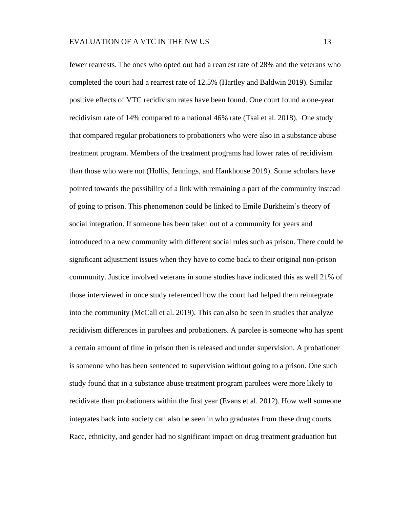fewer rearrests. The ones who opted out had a rearrest rate of 28% and the veterans who completed the court had a rearrest rate of 12.5% (Hartley and Baldwin 2019). Similar positive effects of VTC recidivism rates have been found. One court found a one-year recidivism rate of 14% compared to a national 46% rate (Tsai et al. 2018). One study that compared regular probationers to probationers who were also in a substance abuse treatment program. Members of the treatment programs had lower rates of recidivism than those who were not (Hollis, Jennings, and Hankhouse 2019). Some scholars have pointed towards the possibility of a link with remaining a part of the community instead of going to prison. This phenomenon could be linked to Emile Durkheim's theory of social integration. If someone has been taken out of a community for years and introduced to a new community with different social rules such as prison. There could be significant adjustment issues when they have to come back to their original non-prison community. Justice involved veterans in some studies have indicated this as well 21% of those interviewed in once study referenced how the court had helped them reintegrate into the community (McCall et al. 2019). This can also be seen in studies that analyze recidivism differences in parolees and probationers. A parolee is someone who has spent a certain amount of time in prison then is released and under supervision. A probationer is someone who has been sentenced to supervision without going to a prison. One such study found that in a substance abuse treatment program parolees were more likely to recidivate than probationers within the first year (Evans et al. 2012). How well someone integrates back into society can also be seen in who graduates from these drug courts. Race, ethnicity, and gender had no significant impact on drug treatment graduation but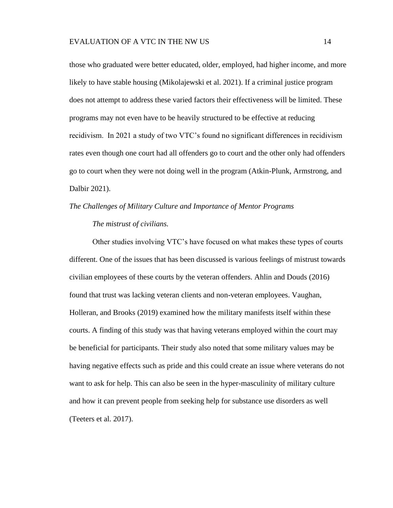those who graduated were better educated, older, employed, had higher income, and more likely to have stable housing (Mikolajewski et al. 2021). If a criminal justice program does not attempt to address these varied factors their effectiveness will be limited. These programs may not even have to be heavily structured to be effective at reducing recidivism. In 2021 a study of two VTC's found no significant differences in recidivism rates even though one court had all offenders go to court and the other only had offenders go to court when they were not doing well in the program (Atkin-Plunk, Armstrong, and Dalbir 2021).

# <span id="page-20-1"></span><span id="page-20-0"></span>*The Challenges of Military Culture and Importance of Mentor Programs*

## *The mistrust of civilians.*

Other studies involving VTC's have focused on what makes these types of courts different. One of the issues that has been discussed is various feelings of mistrust towards civilian employees of these courts by the veteran offenders. Ahlin and Douds (2016) found that trust was lacking veteran clients and non-veteran employees. Vaughan, Holleran, and Brooks (2019) examined how the military manifests itself within these courts. A finding of this study was that having veterans employed within the court may be beneficial for participants. Their study also noted that some military values may be having negative effects such as pride and this could create an issue where veterans do not want to ask for help. This can also be seen in the hyper-masculinity of military culture and how it can prevent people from seeking help for substance use disorders as well (Teeters et al. 2017).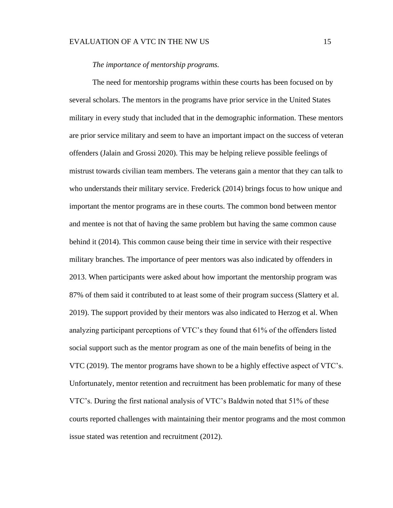#### EVALUATION OF A VTC IN THE NW US 15

## *The importance of mentorship programs.*

<span id="page-21-0"></span>The need for mentorship programs within these courts has been focused on by several scholars. The mentors in the programs have prior service in the United States military in every study that included that in the demographic information. These mentors are prior service military and seem to have an important impact on the success of veteran offenders (Jalain and Grossi 2020). This may be helping relieve possible feelings of mistrust towards civilian team members. The veterans gain a mentor that they can talk to who understands their military service. Frederick (2014) brings focus to how unique and important the mentor programs are in these courts. The common bond between mentor and mentee is not that of having the same problem but having the same common cause behind it (2014). This common cause being their time in service with their respective military branches. The importance of peer mentors was also indicated by offenders in 2013. When participants were asked about how important the mentorship program was 87% of them said it contributed to at least some of their program success (Slattery et al. 2019). The support provided by their mentors was also indicated to Herzog et al. When analyzing participant perceptions of VTC's they found that 61% of the offenders listed social support such as the mentor program as one of the main benefits of being in the VTC (2019). The mentor programs have shown to be a highly effective aspect of VTC's. Unfortunately, mentor retention and recruitment has been problematic for many of these VTC's. During the first national analysis of VTC's Baldwin noted that 51% of these courts reported challenges with maintaining their mentor programs and the most common issue stated was retention and recruitment (2012).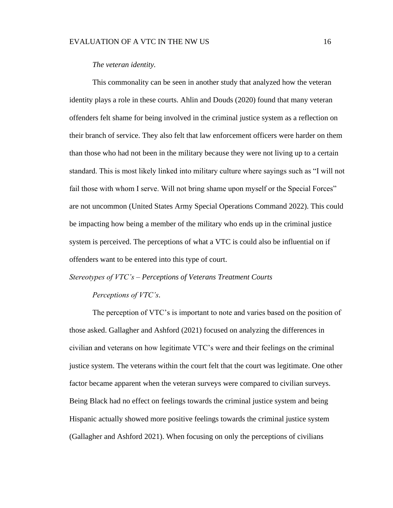#### EVALUATION OF A VTC IN THE NW US 16

## *The veteran identity.*

<span id="page-22-0"></span>This commonality can be seen in another study that analyzed how the veteran identity plays a role in these courts. Ahlin and Douds (2020) found that many veteran offenders felt shame for being involved in the criminal justice system as a reflection on their branch of service. They also felt that law enforcement officers were harder on them than those who had not been in the military because they were not living up to a certain standard. This is most likely linked into military culture where sayings such as "I will not fail those with whom I serve. Will not bring shame upon myself or the Special Forces" are not uncommon (United States Army Special Operations Command 2022). This could be impacting how being a member of the military who ends up in the criminal justice system is perceived. The perceptions of what a VTC is could also be influential on if offenders want to be entered into this type of court.

#### <span id="page-22-2"></span><span id="page-22-1"></span>*Stereotypes of VTC's – Perceptions of Veterans Treatment Courts*

#### *Perceptions of VTC's.*

The perception of VTC's is important to note and varies based on the position of those asked. Gallagher and Ashford (2021) focused on analyzing the differences in civilian and veterans on how legitimate VTC's were and their feelings on the criminal justice system. The veterans within the court felt that the court was legitimate. One other factor became apparent when the veteran surveys were compared to civilian surveys. Being Black had no effect on feelings towards the criminal justice system and being Hispanic actually showed more positive feelings towards the criminal justice system (Gallagher and Ashford 2021). When focusing on only the perceptions of civilians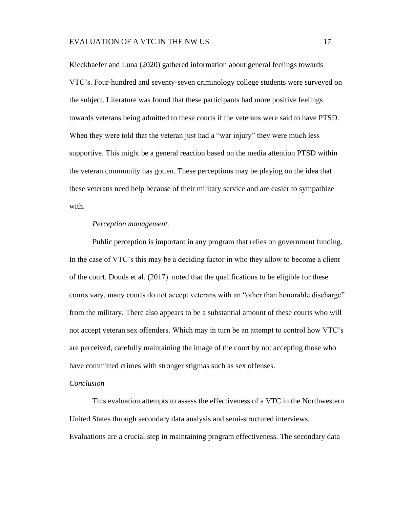Kieckhaefer and Luna (2020) gathered information about general feelings towards VTC's. Four-hundred and seventy-seven criminology college students were surveyed on the subject. Literature was found that these participants had more positive feelings towards veterans being admitted to these courts if the veterans were said to have PTSD. When they were told that the veteran just had a "war injury" they were much less supportive. This might be a general reaction based on the media attention PTSD within the veteran community has gotten. These perceptions may be playing on the idea that these veterans need help because of their military service and are easier to sympathize with.

#### *Perception management.*

<span id="page-23-0"></span>Public perception is important in any program that relies on government funding. In the case of VTC's this may be a deciding factor in who they allow to become a client of the court. Douds et al. (2017). noted that the qualifications to be eligible for these courts vary, many courts do not accept veterans with an "other than honorable discharge" from the military. There also appears to be a substantial amount of these courts who will not accept veteran sex offenders. Which may in turn be an attempt to control how VTC's are perceived, carefully maintaining the image of the court by not accepting those who have committed crimes with stronger stigmas such as sex offenses.

#### <span id="page-23-1"></span>*Conclusion*

This evaluation attempts to assess the effectiveness of a VTC in the Northwestern United States through secondary data analysis and semi-structured interviews. Evaluations are a crucial step in maintaining program effectiveness. The secondary data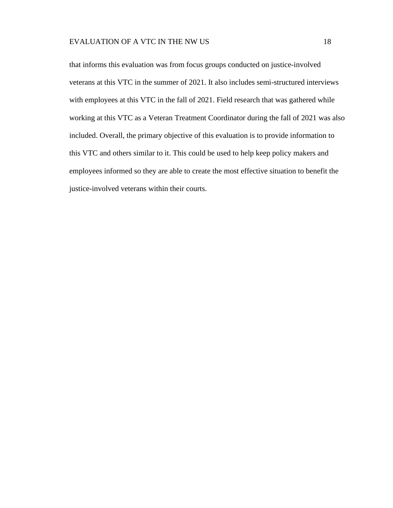that informs this evaluation was from focus groups conducted on justice-involved veterans at this VTC in the summer of 2021. It also includes semi-structured interviews with employees at this VTC in the fall of 2021. Field research that was gathered while working at this VTC as a Veteran Treatment Coordinator during the fall of 2021 was also included. Overall, the primary objective of this evaluation is to provide information to this VTC and others similar to it. This could be used to help keep policy makers and employees informed so they are able to create the most effective situation to benefit the justice-involved veterans within their courts.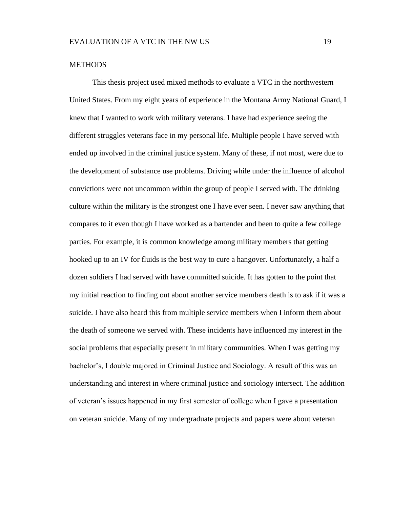#### <span id="page-25-0"></span>**METHODS**

This thesis project used mixed methods to evaluate a VTC in the northwestern United States. From my eight years of experience in the Montana Army National Guard, I knew that I wanted to work with military veterans. I have had experience seeing the different struggles veterans face in my personal life. Multiple people I have served with ended up involved in the criminal justice system. Many of these, if not most, were due to the development of substance use problems. Driving while under the influence of alcohol convictions were not uncommon within the group of people I served with. The drinking culture within the military is the strongest one I have ever seen. I never saw anything that compares to it even though I have worked as a bartender and been to quite a few college parties. For example, it is common knowledge among military members that getting hooked up to an IV for fluids is the best way to cure a hangover. Unfortunately, a half a dozen soldiers I had served with have committed suicide. It has gotten to the point that my initial reaction to finding out about another service members death is to ask if it was a suicide. I have also heard this from multiple service members when I inform them about the death of someone we served with. These incidents have influenced my interest in the social problems that especially present in military communities. When I was getting my bachelor's, I double majored in Criminal Justice and Sociology. A result of this was an understanding and interest in where criminal justice and sociology intersect. The addition of veteran's issues happened in my first semester of college when I gave a presentation on veteran suicide. Many of my undergraduate projects and papers were about veteran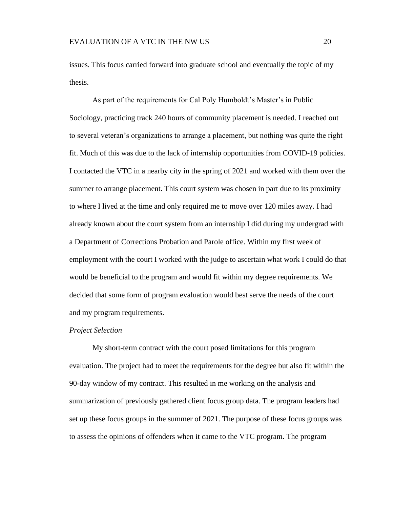issues. This focus carried forward into graduate school and eventually the topic of my thesis.

As part of the requirements for Cal Poly Humboldt's Master's in Public Sociology, practicing track 240 hours of community placement is needed. I reached out to several veteran's organizations to arrange a placement, but nothing was quite the right fit. Much of this was due to the lack of internship opportunities from COVID-19 policies. I contacted the VTC in a nearby city in the spring of 2021 and worked with them over the summer to arrange placement. This court system was chosen in part due to its proximity to where I lived at the time and only required me to move over 120 miles away. I had already known about the court system from an internship I did during my undergrad with a Department of Corrections Probation and Parole office. Within my first week of employment with the court I worked with the judge to ascertain what work I could do that would be beneficial to the program and would fit within my degree requirements. We decided that some form of program evaluation would best serve the needs of the court and my program requirements.

## <span id="page-26-0"></span>*Project Selection*

My short-term contract with the court posed limitations for this program evaluation. The project had to meet the requirements for the degree but also fit within the 90-day window of my contract. This resulted in me working on the analysis and summarization of previously gathered client focus group data. The program leaders had set up these focus groups in the summer of 2021. The purpose of these focus groups was to assess the opinions of offenders when it came to the VTC program. The program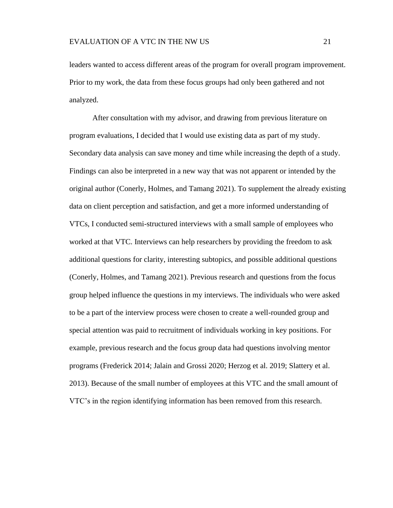leaders wanted to access different areas of the program for overall program improvement. Prior to my work, the data from these focus groups had only been gathered and not analyzed.

After consultation with my advisor, and drawing from previous literature on program evaluations, I decided that I would use existing data as part of my study. Secondary data analysis can save money and time while increasing the depth of a study. Findings can also be interpreted in a new way that was not apparent or intended by the original author (Conerly, Holmes, and Tamang 2021). To supplement the already existing data on client perception and satisfaction, and get a more informed understanding of VTCs, I conducted semi-structured interviews with a small sample of employees who worked at that VTC. Interviews can help researchers by providing the freedom to ask additional questions for clarity, interesting subtopics, and possible additional questions (Conerly, Holmes, and Tamang 2021). Previous research and questions from the focus group helped influence the questions in my interviews. The individuals who were asked to be a part of the interview process were chosen to create a well-rounded group and special attention was paid to recruitment of individuals working in key positions. For example, previous research and the focus group data had questions involving mentor programs (Frederick 2014; Jalain and Grossi 2020; Herzog et al. 2019; Slattery et al. 2013). Because of the small number of employees at this VTC and the small amount of VTC's in the region identifying information has been removed from this research.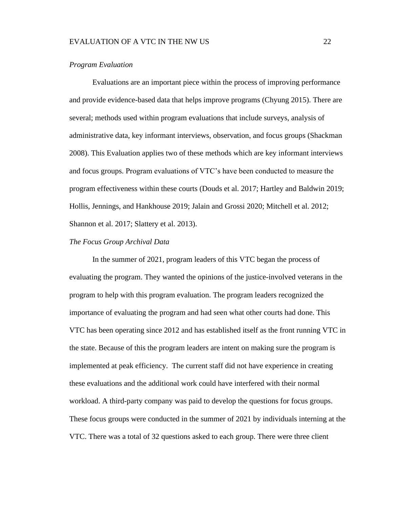#### <span id="page-28-0"></span>*Program Evaluation*

Evaluations are an important piece within the process of improving performance and provide evidence-based data that helps improve programs (Chyung 2015). There are several; methods used within program evaluations that include surveys, analysis of administrative data, key informant interviews, observation, and focus groups (Shackman 2008). This Evaluation applies two of these methods which are key informant interviews and focus groups. Program evaluations of VTC's have been conducted to measure the program effectiveness within these courts (Douds et al. 2017; Hartley and Baldwin 2019; Hollis, Jennings, and Hankhouse 2019; Jalain and Grossi 2020; Mitchell et al. 2012; Shannon et al. 2017; Slattery et al. 2013).

## <span id="page-28-1"></span>*The Focus Group Archival Data*

In the summer of 2021, program leaders of this VTC began the process of evaluating the program. They wanted the opinions of the justice-involved veterans in the program to help with this program evaluation. The program leaders recognized the importance of evaluating the program and had seen what other courts had done. This VTC has been operating since 2012 and has established itself as the front running VTC in the state. Because of this the program leaders are intent on making sure the program is implemented at peak efficiency. The current staff did not have experience in creating these evaluations and the additional work could have interfered with their normal workload. A third-party company was paid to develop the questions for focus groups. These focus groups were conducted in the summer of 2021 by individuals interning at the VTC. There was a total of 32 questions asked to each group. There were three client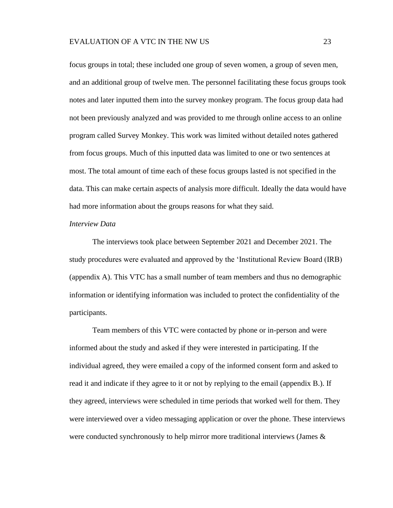focus groups in total; these included one group of seven women, a group of seven men, and an additional group of twelve men. The personnel facilitating these focus groups took notes and later inputted them into the survey monkey program. The focus group data had not been previously analyzed and was provided to me through online access to an online program called Survey Monkey. This work was limited without detailed notes gathered from focus groups. Much of this inputted data was limited to one or two sentences at most. The total amount of time each of these focus groups lasted is not specified in the data. This can make certain aspects of analysis more difficult. Ideally the data would have had more information about the groups reasons for what they said.

#### <span id="page-29-0"></span>*Interview Data*

The interviews took place between September 2021 and December 2021. The study procedures were evaluated and approved by the 'Institutional Review Board (IRB) (appendix A). This VTC has a small number of team members and thus no demographic information or identifying information was included to protect the confidentiality of the participants.

Team members of this VTC were contacted by phone or in-person and were informed about the study and asked if they were interested in participating. If the individual agreed, they were emailed a copy of the informed consent form and asked to read it and indicate if they agree to it or not by replying to the email (appendix B.). If they agreed, interviews were scheduled in time periods that worked well for them. They were interviewed over a video messaging application or over the phone. These interviews were conducted synchronously to help mirror more traditional interviews (James &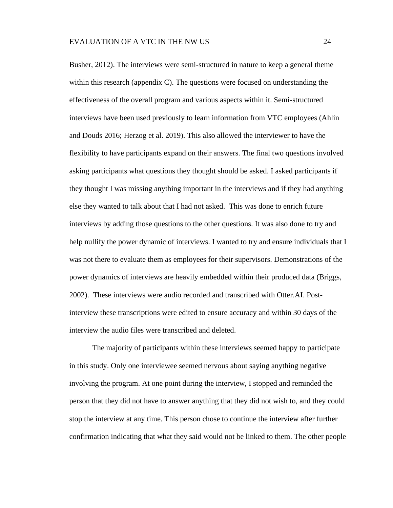Busher, 2012). The interviews were semi-structured in nature to keep a general theme within this research (appendix C). The questions were focused on understanding the effectiveness of the overall program and various aspects within it. Semi-structured interviews have been used previously to learn information from VTC employees (Ahlin and Douds 2016; Herzog et al. 2019). This also allowed the interviewer to have the flexibility to have participants expand on their answers. The final two questions involved asking participants what questions they thought should be asked. I asked participants if they thought I was missing anything important in the interviews and if they had anything else they wanted to talk about that I had not asked. This was done to enrich future interviews by adding those questions to the other questions. It was also done to try and help nullify the power dynamic of interviews. I wanted to try and ensure individuals that I was not there to evaluate them as employees for their supervisors. Demonstrations of the power dynamics of interviews are heavily embedded within their produced data (Briggs, 2002). These interviews were audio recorded and transcribed with Otter.AI. Postinterview these transcriptions were edited to ensure accuracy and within 30 days of the interview the audio files were transcribed and deleted.

The majority of participants within these interviews seemed happy to participate in this study. Only one interviewee seemed nervous about saying anything negative involving the program. At one point during the interview, I stopped and reminded the person that they did not have to answer anything that they did not wish to, and they could stop the interview at any time. This person chose to continue the interview after further confirmation indicating that what they said would not be linked to them. The other people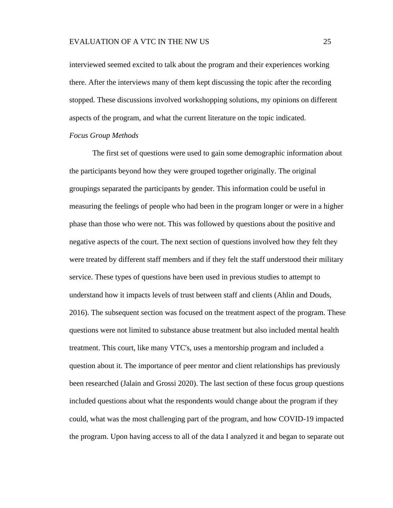interviewed seemed excited to talk about the program and their experiences working there. After the interviews many of them kept discussing the topic after the recording stopped. These discussions involved workshopping solutions, my opinions on different aspects of the program, and what the current literature on the topic indicated.

## <span id="page-31-0"></span>*Focus Group Methods*

The first set of questions were used to gain some demographic information about the participants beyond how they were grouped together originally. The original groupings separated the participants by gender. This information could be useful in measuring the feelings of people who had been in the program longer or were in a higher phase than those who were not. This was followed by questions about the positive and negative aspects of the court. The next section of questions involved how they felt they were treated by different staff members and if they felt the staff understood their military service. These types of questions have been used in previous studies to attempt to understand how it impacts levels of trust between staff and clients (Ahlin and Douds, 2016). The subsequent section was focused on the treatment aspect of the program. These questions were not limited to substance abuse treatment but also included mental health treatment. This court, like many VTC's, uses a mentorship program and included a question about it. The importance of peer mentor and client relationships has previously been researched (Jalain and Grossi 2020). The last section of these focus group questions included questions about what the respondents would change about the program if they could, what was the most challenging part of the program, and how COVID-19 impacted the program. Upon having access to all of the data I analyzed it and began to separate out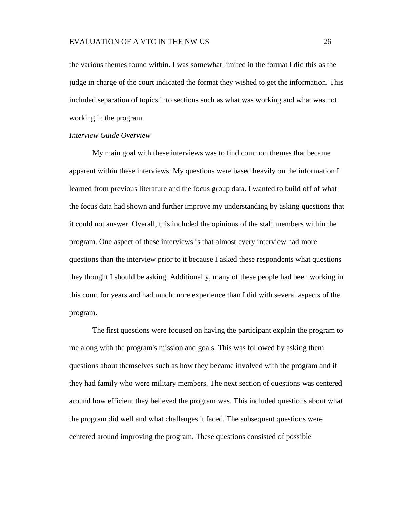the various themes found within. I was somewhat limited in the format I did this as the judge in charge of the court indicated the format they wished to get the information. This included separation of topics into sections such as what was working and what was not working in the program.

#### <span id="page-32-0"></span>*Interview Guide Overview*

My main goal with these interviews was to find common themes that became apparent within these interviews. My questions were based heavily on the information I learned from previous literature and the focus group data. I wanted to build off of what the focus data had shown and further improve my understanding by asking questions that it could not answer. Overall, this included the opinions of the staff members within the program. One aspect of these interviews is that almost every interview had more questions than the interview prior to it because I asked these respondents what questions they thought I should be asking. Additionally, many of these people had been working in this court for years and had much more experience than I did with several aspects of the program.

The first questions were focused on having the participant explain the program to me along with the program's mission and goals. This was followed by asking them questions about themselves such as how they became involved with the program and if they had family who were military members. The next section of questions was centered around how efficient they believed the program was. This included questions about what the program did well and what challenges it faced. The subsequent questions were centered around improving the program. These questions consisted of possible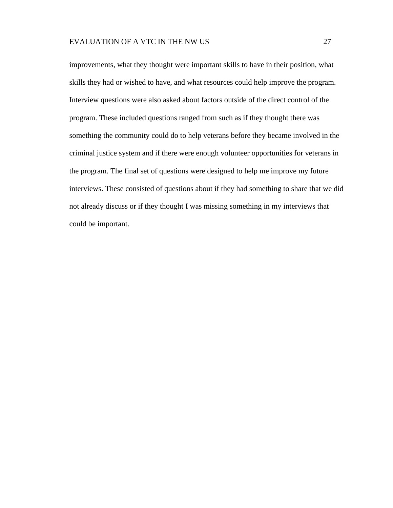improvements, what they thought were important skills to have in their position, what skills they had or wished to have, and what resources could help improve the program. Interview questions were also asked about factors outside of the direct control of the program. These included questions ranged from such as if they thought there was something the community could do to help veterans before they became involved in the criminal justice system and if there were enough volunteer opportunities for veterans in the program. The final set of questions were designed to help me improve my future interviews. These consisted of questions about if they had something to share that we did not already discuss or if they thought I was missing something in my interviews that could be important.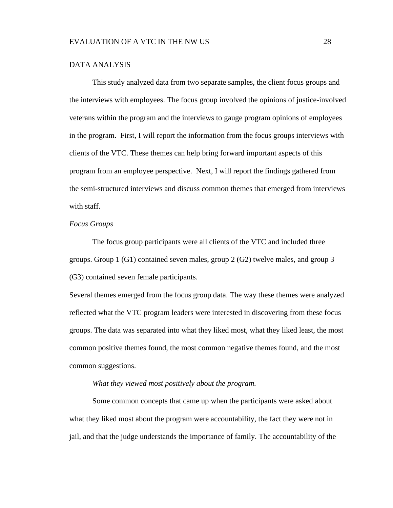#### <span id="page-34-0"></span>DATA ANALYSIS

This study analyzed data from two separate samples, the client focus groups and the interviews with employees. The focus group involved the opinions of justice-involved veterans within the program and the interviews to gauge program opinions of employees in the program. First, I will report the information from the focus groups interviews with clients of the VTC. These themes can help bring forward important aspects of this program from an employee perspective. Next, I will report the findings gathered from the semi-structured interviews and discuss common themes that emerged from interviews with staff.

#### <span id="page-34-1"></span>*Focus Groups*

The focus group participants were all clients of the VTC and included three groups. Group 1 (G1) contained seven males, group 2 (G2) twelve males, and group 3 (G3) contained seven female participants.

Several themes emerged from the focus group data. The way these themes were analyzed reflected what the VTC program leaders were interested in discovering from these focus groups. The data was separated into what they liked most, what they liked least, the most common positive themes found, the most common negative themes found, and the most common suggestions.

#### *What they viewed most positively about the program.*

<span id="page-34-2"></span>Some common concepts that came up when the participants were asked about what they liked most about the program were accountability, the fact they were not in jail, and that the judge understands the importance of family. The accountability of the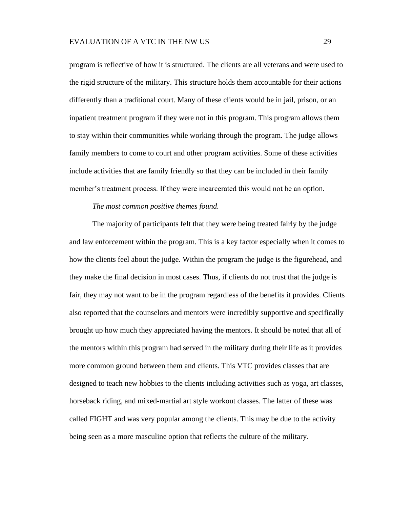program is reflective of how it is structured. The clients are all veterans and were used to the rigid structure of the military. This structure holds them accountable for their actions differently than a traditional court. Many of these clients would be in jail, prison, or an inpatient treatment program if they were not in this program. This program allows them to stay within their communities while working through the program. The judge allows family members to come to court and other program activities. Some of these activities include activities that are family friendly so that they can be included in their family member's treatment process. If they were incarcerated this would not be an option.

#### *The most common positive themes found.*

<span id="page-35-0"></span>The majority of participants felt that they were being treated fairly by the judge and law enforcement within the program. This is a key factor especially when it comes to how the clients feel about the judge. Within the program the judge is the figurehead, and they make the final decision in most cases. Thus, if clients do not trust that the judge is fair, they may not want to be in the program regardless of the benefits it provides. Clients also reported that the counselors and mentors were incredibly supportive and specifically brought up how much they appreciated having the mentors. It should be noted that all of the mentors within this program had served in the military during their life as it provides more common ground between them and clients. This VTC provides classes that are designed to teach new hobbies to the clients including activities such as yoga, art classes, horseback riding, and mixed-martial art style workout classes. The latter of these was called FIGHT and was very popular among the clients. This may be due to the activity being seen as a more masculine option that reflects the culture of the military.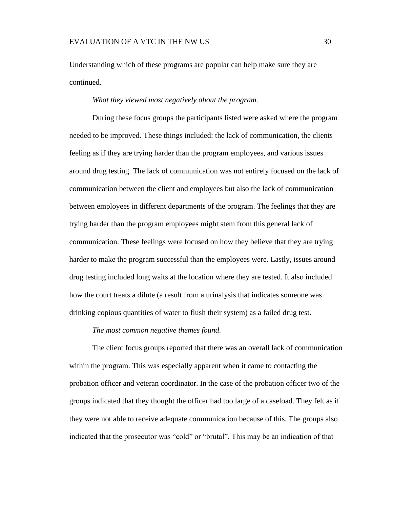Understanding which of these programs are popular can help make sure they are continued.

#### *What they viewed most negatively about the program.*

<span id="page-36-0"></span>During these focus groups the participants listed were asked where the program needed to be improved. These things included: the lack of communication, the clients feeling as if they are trying harder than the program employees, and various issues around drug testing. The lack of communication was not entirely focused on the lack of communication between the client and employees but also the lack of communication between employees in different departments of the program. The feelings that they are trying harder than the program employees might stem from this general lack of communication. These feelings were focused on how they believe that they are trying harder to make the program successful than the employees were. Lastly, issues around drug testing included long waits at the location where they are tested. It also included how the court treats a dilute (a result from a urinalysis that indicates someone was drinking copious quantities of water to flush their system) as a failed drug test.

#### *The most common negative themes found.*

<span id="page-36-1"></span>The client focus groups reported that there was an overall lack of communication within the program. This was especially apparent when it came to contacting the probation officer and veteran coordinator. In the case of the probation officer two of the groups indicated that they thought the officer had too large of a caseload. They felt as if they were not able to receive adequate communication because of this. The groups also indicated that the prosecutor was "cold" or "brutal". This may be an indication of that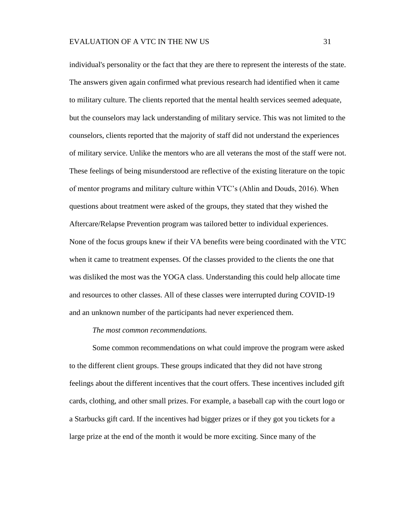individual's personality or the fact that they are there to represent the interests of the state. The answers given again confirmed what previous research had identified when it came to military culture. The clients reported that the mental health services seemed adequate, but the counselors may lack understanding of military service. This was not limited to the counselors, clients reported that the majority of staff did not understand the experiences of military service. Unlike the mentors who are all veterans the most of the staff were not. These feelings of being misunderstood are reflective of the existing literature on the topic of mentor programs and military culture within VTC's (Ahlin and Douds, 2016). When questions about treatment were asked of the groups, they stated that they wished the Aftercare/Relapse Prevention program was tailored better to individual experiences. None of the focus groups knew if their VA benefits were being coordinated with the VTC when it came to treatment expenses. Of the classes provided to the clients the one that was disliked the most was the YOGA class. Understanding this could help allocate time and resources to other classes. All of these classes were interrupted during COVID-19 and an unknown number of the participants had never experienced them.

#### *The most common recommendations.*

<span id="page-37-0"></span>Some common recommendations on what could improve the program were asked to the different client groups. These groups indicated that they did not have strong feelings about the different incentives that the court offers. These incentives included gift cards, clothing, and other small prizes. For example, a baseball cap with the court logo or a Starbucks gift card. If the incentives had bigger prizes or if they got you tickets for a large prize at the end of the month it would be more exciting. Since many of the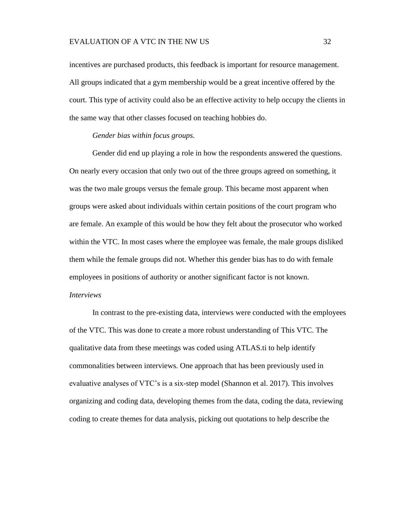incentives are purchased products, this feedback is important for resource management. All groups indicated that a gym membership would be a great incentive offered by the court. This type of activity could also be an effective activity to help occupy the clients in the same way that other classes focused on teaching hobbies do.

# *Gender bias within focus groups.*

<span id="page-38-0"></span>Gender did end up playing a role in how the respondents answered the questions. On nearly every occasion that only two out of the three groups agreed on something, it was the two male groups versus the female group. This became most apparent when groups were asked about individuals within certain positions of the court program who are female. An example of this would be how they felt about the prosecutor who worked within the VTC. In most cases where the employee was female, the male groups disliked them while the female groups did not. Whether this gender bias has to do with female employees in positions of authority or another significant factor is not known.

# <span id="page-38-1"></span>*Interviews*

In contrast to the pre-existing data, interviews were conducted with the employees of the VTC. This was done to create a more robust understanding of This VTC. The qualitative data from these meetings was coded using ATLAS.ti to help identify commonalities between interviews. One approach that has been previously used in evaluative analyses of VTC's is a six-step model (Shannon et al. 2017). This involves organizing and coding data, developing themes from the data, coding the data, reviewing coding to create themes for data analysis, picking out quotations to help describe the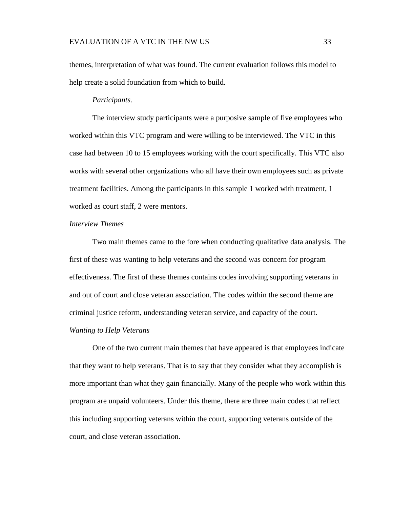themes, interpretation of what was found. The current evaluation follows this model to help create a solid foundation from which to build.

#### *Participants.*

<span id="page-39-0"></span>The interview study participants were a purposive sample of five employees who worked within this VTC program and were willing to be interviewed. The VTC in this case had between 10 to 15 employees working with the court specifically. This VTC also works with several other organizations who all have their own employees such as private treatment facilities. Among the participants in this sample 1 worked with treatment, 1 worked as court staff, 2 were mentors.

#### <span id="page-39-1"></span>*Interview Themes*

Two main themes came to the fore when conducting qualitative data analysis. The first of these was wanting to help veterans and the second was concern for program effectiveness. The first of these themes contains codes involving supporting veterans in and out of court and close veteran association. The codes within the second theme are criminal justice reform, understanding veteran service, and capacity of the court.

# <span id="page-39-2"></span>*Wanting to Help Veterans*

One of the two current main themes that have appeared is that employees indicate that they want to help veterans. That is to say that they consider what they accomplish is more important than what they gain financially. Many of the people who work within this program are unpaid volunteers. Under this theme, there are three main codes that reflect this including supporting veterans within the court, supporting veterans outside of the court, and close veteran association.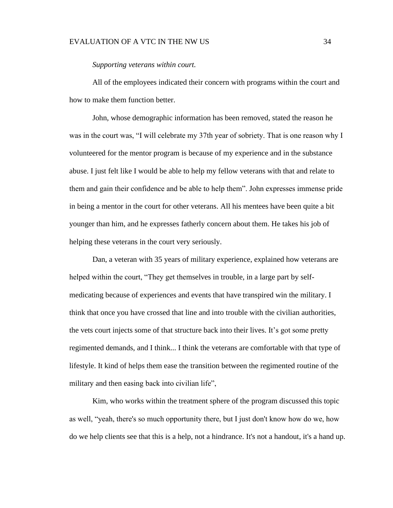## EVALUATION OF A VTC IN THE NW US 34

#### *Supporting veterans within court.*

<span id="page-40-0"></span>All of the employees indicated their concern with programs within the court and how to make them function better.

John, whose demographic information has been removed, stated the reason he was in the court was, "I will celebrate my 37th year of sobriety. That is one reason why I volunteered for the mentor program is because of my experience and in the substance abuse. I just felt like I would be able to help my fellow veterans with that and relate to them and gain their confidence and be able to help them". John expresses immense pride in being a mentor in the court for other veterans. All his mentees have been quite a bit younger than him, and he expresses fatherly concern about them. He takes his job of helping these veterans in the court very seriously.

Dan, a veteran with 35 years of military experience, explained how veterans are helped within the court, "They get themselves in trouble, in a large part by selfmedicating because of experiences and events that have transpired win the military. I think that once you have crossed that line and into trouble with the civilian authorities, the vets court injects some of that structure back into their lives. It's got some pretty regimented demands, and I think... I think the veterans are comfortable with that type of lifestyle. It kind of helps them ease the transition between the regimented routine of the military and then easing back into civilian life",

Kim, who works within the treatment sphere of the program discussed this topic as well, "yeah, there's so much opportunity there, but I just don't know how do we, how do we help clients see that this is a help, not a hindrance. It's not a handout, it's a hand up.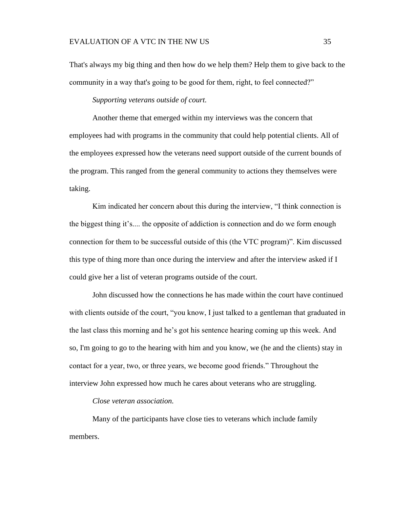That's always my big thing and then how do we help them? Help them to give back to the community in a way that's going to be good for them, right, to feel connected?"

*Supporting veterans outside of court.*

<span id="page-41-0"></span>Another theme that emerged within my interviews was the concern that employees had with programs in the community that could help potential clients. All of the employees expressed how the veterans need support outside of the current bounds of the program. This ranged from the general community to actions they themselves were taking.

Kim indicated her concern about this during the interview, "I think connection is the biggest thing it's.... the opposite of addiction is connection and do we form enough connection for them to be successful outside of this (the VTC program)". Kim discussed this type of thing more than once during the interview and after the interview asked if I could give her a list of veteran programs outside of the court.

John discussed how the connections he has made within the court have continued with clients outside of the court, "you know, I just talked to a gentleman that graduated in the last class this morning and he's got his sentence hearing coming up this week. And so, I'm going to go to the hearing with him and you know, we (he and the clients) stay in contact for a year, two, or three years, we become good friends." Throughout the interview John expressed how much he cares about veterans who are struggling.

*Close veteran association.*

<span id="page-41-1"></span>Many of the participants have close ties to veterans which include family members.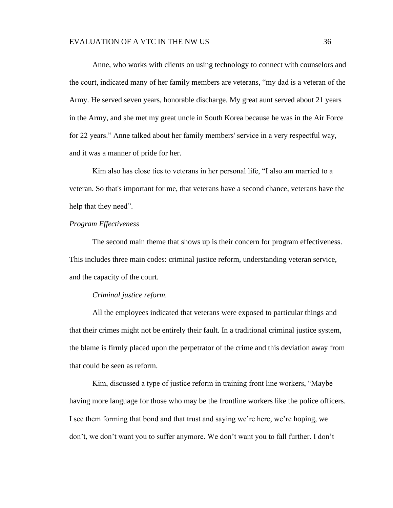#### EVALUATION OF A VTC IN THE NW US 36

Anne, who works with clients on using technology to connect with counselors and the court, indicated many of her family members are veterans, "my dad is a veteran of the Army. He served seven years, honorable discharge. My great aunt served about 21 years in the Army, and she met my great uncle in South Korea because he was in the Air Force for 22 years." Anne talked about her family members' service in a very respectful way, and it was a manner of pride for her.

Kim also has close ties to veterans in her personal life, "I also am married to a veteran. So that's important for me, that veterans have a second chance, veterans have the help that they need".

# <span id="page-42-0"></span>*Program Effectiveness*

The second main theme that shows up is their concern for program effectiveness. This includes three main codes: criminal justice reform, understanding veteran service, and the capacity of the court.

#### *Criminal justice reform.*

<span id="page-42-1"></span>All the employees indicated that veterans were exposed to particular things and that their crimes might not be entirely their fault. In a traditional criminal justice system, the blame is firmly placed upon the perpetrator of the crime and this deviation away from that could be seen as reform.

Kim, discussed a type of justice reform in training front line workers, "Maybe having more language for those who may be the frontline workers like the police officers. I see them forming that bond and that trust and saying we're here, we're hoping, we don't, we don't want you to suffer anymore. We don't want you to fall further. I don't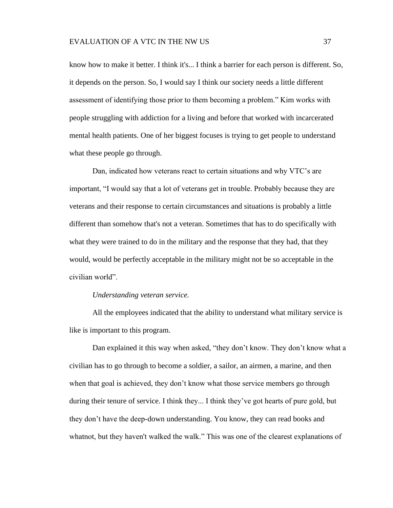know how to make it better. I think it's... I think a barrier for each person is different. So, it depends on the person. So, I would say I think our society needs a little different assessment of identifying those prior to them becoming a problem." Kim works with people struggling with addiction for a living and before that worked with incarcerated mental health patients. One of her biggest focuses is trying to get people to understand what these people go through.

Dan, indicated how veterans react to certain situations and why VTC's are important, "I would say that a lot of veterans get in trouble. Probably because they are veterans and their response to certain circumstances and situations is probably a little different than somehow that's not a veteran. Sometimes that has to do specifically with what they were trained to do in the military and the response that they had, that they would, would be perfectly acceptable in the military might not be so acceptable in the civilian world".

#### *Understanding veteran service.*

<span id="page-43-0"></span>All the employees indicated that the ability to understand what military service is like is important to this program.

Dan explained it this way when asked, "they don't know. They don't know what a civilian has to go through to become a soldier, a sailor, an airmen, a marine, and then when that goal is achieved, they don't know what those service members go through during their tenure of service. I think they... I think they've got hearts of pure gold, but they don't have the deep-down understanding. You know, they can read books and whatnot, but they haven't walked the walk." This was one of the clearest explanations of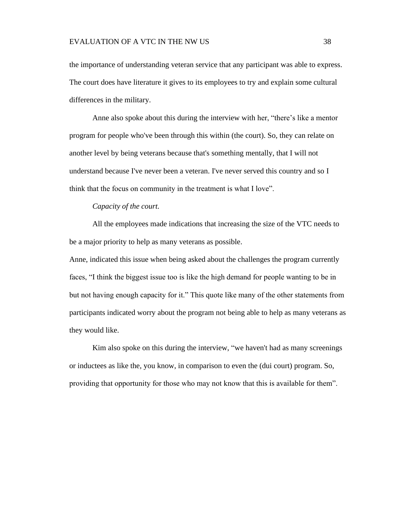the importance of understanding veteran service that any participant was able to express. The court does have literature it gives to its employees to try and explain some cultural differences in the military.

Anne also spoke about this during the interview with her, "there's like a mentor program for people who've been through this within (the court). So, they can relate on another level by being veterans because that's something mentally, that I will not understand because I've never been a veteran. I've never served this country and so I think that the focus on community in the treatment is what I love".

*Capacity of the court.*

<span id="page-44-0"></span>All the employees made indications that increasing the size of the VTC needs to be a major priority to help as many veterans as possible.

Anne, indicated this issue when being asked about the challenges the program currently faces, "I think the biggest issue too is like the high demand for people wanting to be in but not having enough capacity for it." This quote like many of the other statements from participants indicated worry about the program not being able to help as many veterans as they would like.

Kim also spoke on this during the interview, "we haven't had as many screenings or inductees as like the, you know, in comparison to even the (dui court) program. So, providing that opportunity for those who may not know that this is available for them".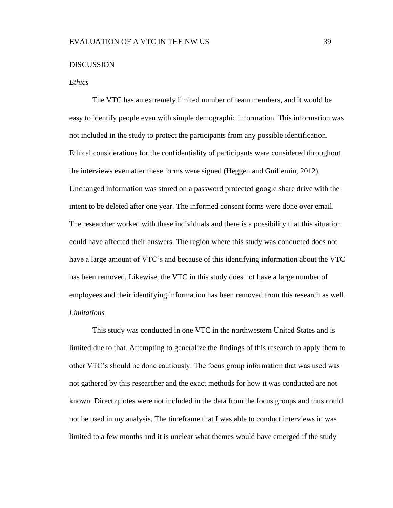#### <span id="page-45-0"></span>**DISCUSSION**

#### <span id="page-45-1"></span>*Ethics*

The VTC has an extremely limited number of team members, and it would be easy to identify people even with simple demographic information. This information was not included in the study to protect the participants from any possible identification. Ethical considerations for the confidentiality of participants were considered throughout the interviews even after these forms were signed (Heggen and Guillemin, 2012). Unchanged information was stored on a password protected google share drive with the intent to be deleted after one year. The informed consent forms were done over email. The researcher worked with these individuals and there is a possibility that this situation could have affected their answers. The region where this study was conducted does not have a large amount of VTC's and because of this identifying information about the VTC has been removed. Likewise, the VTC in this study does not have a large number of employees and their identifying information has been removed from this research as well. *Limitations*

<span id="page-45-2"></span>This study was conducted in one VTC in the northwestern United States and is limited due to that. Attempting to generalize the findings of this research to apply them to other VTC's should be done cautiously. The focus group information that was used was not gathered by this researcher and the exact methods for how it was conducted are not known. Direct quotes were not included in the data from the focus groups and thus could not be used in my analysis. The timeframe that I was able to conduct interviews in was limited to a few months and it is unclear what themes would have emerged if the study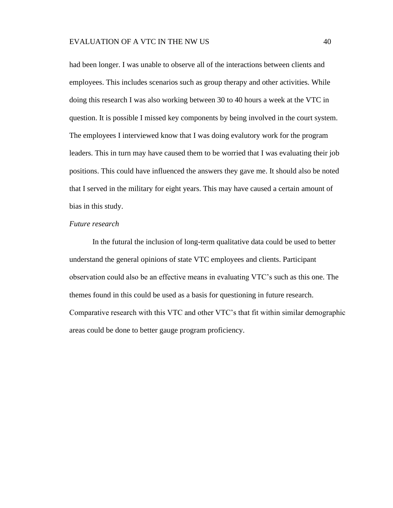had been longer. I was unable to observe all of the interactions between clients and employees. This includes scenarios such as group therapy and other activities. While doing this research I was also working between 30 to 40 hours a week at the VTC in question. It is possible I missed key components by being involved in the court system. The employees I interviewed know that I was doing evalutory work for the program leaders. This in turn may have caused them to be worried that I was evaluating their job positions. This could have influenced the answers they gave me. It should also be noted that I served in the military for eight years. This may have caused a certain amount of bias in this study.

## <span id="page-46-0"></span>*Future research*

In the futural the inclusion of long-term qualitative data could be used to better understand the general opinions of state VTC employees and clients. Participant observation could also be an effective means in evaluating VTC's such as this one. The themes found in this could be used as a basis for questioning in future research. Comparative research with this VTC and other VTC's that fit within similar demographic areas could be done to better gauge program proficiency.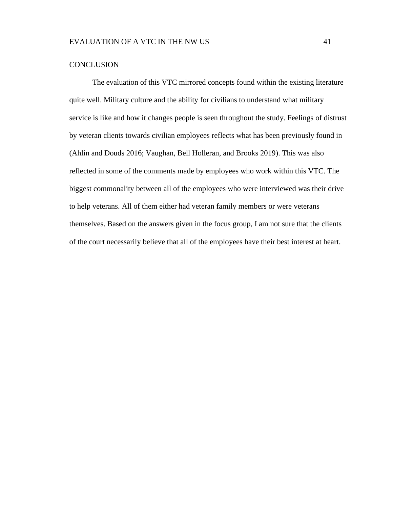## <span id="page-47-0"></span>**CONCLUSION**

The evaluation of this VTC mirrored concepts found within the existing literature quite well. Military culture and the ability for civilians to understand what military service is like and how it changes people is seen throughout the study. Feelings of distrust by veteran clients towards civilian employees reflects what has been previously found in (Ahlin and Douds 2016; Vaughan, Bell Holleran, and Brooks 2019). This was also reflected in some of the comments made by employees who work within this VTC. The biggest commonality between all of the employees who were interviewed was their drive to help veterans. All of them either had veteran family members or were veterans themselves. Based on the answers given in the focus group, I am not sure that the clients of the court necessarily believe that all of the employees have their best interest at heart.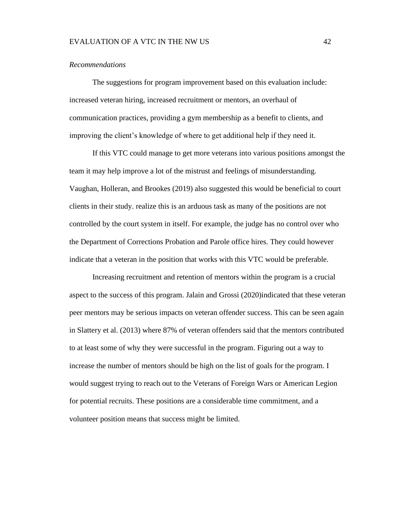#### <span id="page-48-0"></span>*Recommendations*

The suggestions for program improvement based on this evaluation include: increased veteran hiring, increased recruitment or mentors, an overhaul of communication practices, providing a gym membership as a benefit to clients, and improving the client's knowledge of where to get additional help if they need it.

If this VTC could manage to get more veterans into various positions amongst the team it may help improve a lot of the mistrust and feelings of misunderstanding. Vaughan, Holleran, and Brookes (2019) also suggested this would be beneficial to court clients in their study. realize this is an arduous task as many of the positions are not controlled by the court system in itself. For example, the judge has no control over who the Department of Corrections Probation and Parole office hires. They could however indicate that a veteran in the position that works with this VTC would be preferable.

Increasing recruitment and retention of mentors within the program is a crucial aspect to the success of this program. Jalain and Grossi (2020)indicated that these veteran peer mentors may be serious impacts on veteran offender success. This can be seen again in Slattery et al. (2013) where 87% of veteran offenders said that the mentors contributed to at least some of why they were successful in the program. Figuring out a way to increase the number of mentors should be high on the list of goals for the program. I would suggest trying to reach out to the Veterans of Foreign Wars or American Legion for potential recruits. These positions are a considerable time commitment, and a volunteer position means that success might be limited.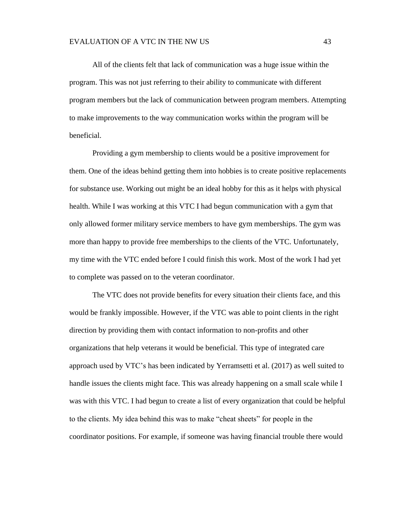#### EVALUATION OF A VTC IN THE NW US 43

All of the clients felt that lack of communication was a huge issue within the program. This was not just referring to their ability to communicate with different program members but the lack of communication between program members. Attempting to make improvements to the way communication works within the program will be beneficial.

Providing a gym membership to clients would be a positive improvement for them. One of the ideas behind getting them into hobbies is to create positive replacements for substance use. Working out might be an ideal hobby for this as it helps with physical health. While I was working at this VTC I had begun communication with a gym that only allowed former military service members to have gym memberships. The gym was more than happy to provide free memberships to the clients of the VTC. Unfortunately, my time with the VTC ended before I could finish this work. Most of the work I had yet to complete was passed on to the veteran coordinator.

The VTC does not provide benefits for every situation their clients face, and this would be frankly impossible. However, if the VTC was able to point clients in the right direction by providing them with contact information to non-profits and other organizations that help veterans it would be beneficial. This type of integrated care approach used by VTC's has been indicated by Yerramsetti et al. (2017) as well suited to handle issues the clients might face. This was already happening on a small scale while I was with this VTC. I had begun to create a list of every organization that could be helpful to the clients. My idea behind this was to make "cheat sheets" for people in the coordinator positions. For example, if someone was having financial trouble there would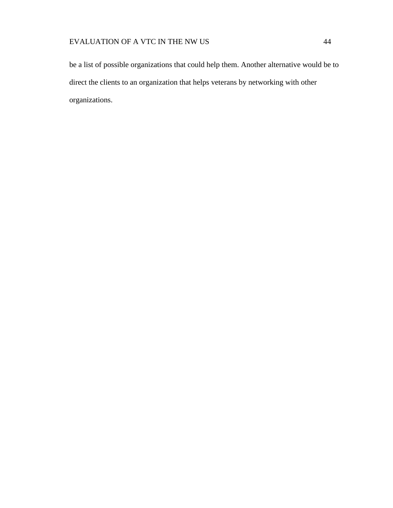be a list of possible organizations that could help them. Another alternative would be to direct the clients to an organization that helps veterans by networking with other organizations.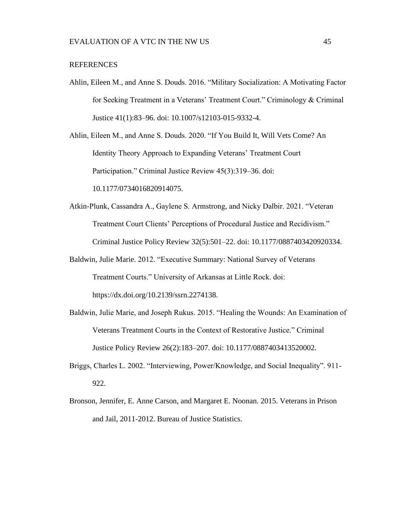#### <span id="page-51-0"></span>REFERENCES

Ahlin, Eileen M., and Anne S. Douds. 2016. "Military Socialization: A Motivating Factor for Seeking Treatment in a Veterans' Treatment Court." Criminology & Criminal Justice 41(1):83–96. doi: 10.1007/s12103-015-9332-4.

Ahlin, Eileen M., and Anne S. Douds. 2020. "If You Build It, Will Vets Come? An Identity Theory Approach to Expanding Veterans' Treatment Court Participation." Criminal Justice Review 45(3):319–36. doi: 10.1177/0734016820914075.

- Atkin-Plunk, Cassandra A., Gaylene S. Armstrong, and Nicky Dalbir. 2021. "Veteran Treatment Court Clients' Perceptions of Procedural Justice and Recidivism." Criminal Justice Policy Review 32(5):501–22. doi: 10.1177/0887403420920334.
- Baldwin, Julie Marie. 2012. "Executive Summary: National Survey of Veterans Treatment Courts." University of Arkansas at Little Rock. doi: https://dx.doi.org/10.2139/ssrn.2274138.
- Baldwin, Julie Marie, and Joseph Rukus. 2015. "Healing the Wounds: An Examination of Veterans Treatment Courts in the Context of Restorative Justice." Criminal Justice Policy Review 26(2):183–207. doi: 10.1177/0887403413520002.
- Briggs, Charles L. 2002. "Interviewing, Power/Knowledge, and Social Inequality". 911- 922.
- Bronson, Jennifer, E. Anne Carson, and Margaret E. Noonan. 2015. Veterans in Prison and Jail, 2011-2012. Bureau of Justice Statistics.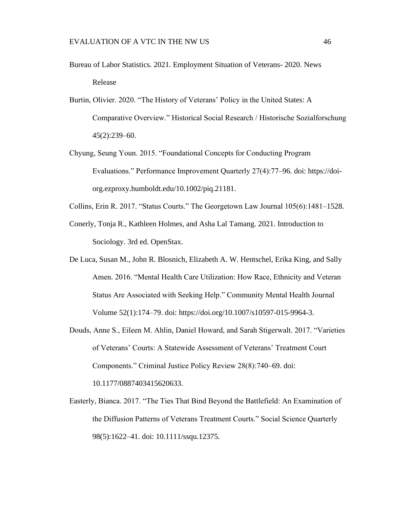- Bureau of Labor Statistics. 2021. Employment Situation of Veterans- 2020. News Release
- Burtin, Olivier. 2020. "The History of Veterans' Policy in the United States: A Comparative Overview." Historical Social Research / Historische Sozialforschung 45(2):239–60.
- Chyung, Seung Youn. 2015. "Foundational Concepts for Conducting Program Evaluations." Performance Improvement Quarterly 27(4):77–96. doi: https://doiorg.ezproxy.humboldt.edu/10.1002/piq.21181.
- Collins, Erin R. 2017. "Status Courts." The Georgetown Law Journal 105(6):1481–1528.
- Conerly, Tonja R., Kathleen Holmes, and Asha Lal Tamang. 2021. Introduction to Sociology. 3rd ed. OpenStax.
- De Luca, Susan M., John R. Blosnich, Elizabeth A. W. Hentschel, Erika King, and Sally Amen. 2016. "Mental Health Care Utilization: How Race, Ethnicity and Veteran Status Are Associated with Seeking Help." Community Mental Health Journal Volume 52(1):174–79. doi: https://doi.org/10.1007/s10597-015-9964-3.
- Douds, Anne S., Eileen M. Ahlin, Daniel Howard, and Sarah Stigerwalt. 2017. "Varieties of Veterans' Courts: A Statewide Assessment of Veterans' Treatment Court Components." Criminal Justice Policy Review 28(8):740–69. doi: 10.1177/0887403415620633.
- Easterly, Bianca. 2017. "The Ties That Bind Beyond the Battlefield: An Examination of the Diffusion Patterns of Veterans Treatment Courts." Social Science Quarterly 98(5):1622–41. doi: 10.1111/ssqu.12375.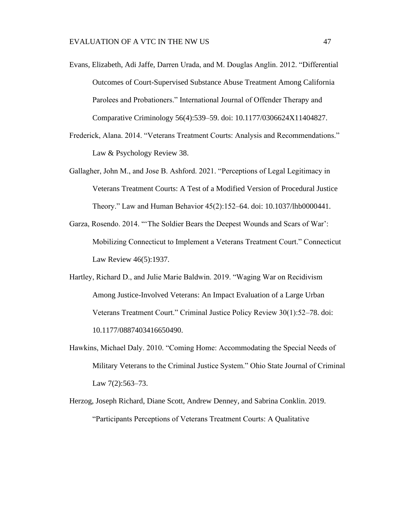- Evans, Elizabeth, Adi Jaffe, Darren Urada, and M. Douglas Anglin. 2012. "Differential Outcomes of Court-Supervised Substance Abuse Treatment Among California Parolees and Probationers." International Journal of Offender Therapy and Comparative Criminology 56(4):539–59. doi: 10.1177/0306624X11404827.
- Frederick, Alana. 2014. "Veterans Treatment Courts: Analysis and Recommendations." Law & Psychology Review 38.
- Gallagher, John M., and Jose B. Ashford. 2021. "Perceptions of Legal Legitimacy in Veterans Treatment Courts: A Test of a Modified Version of Procedural Justice Theory." Law and Human Behavior 45(2):152–64. doi: 10.1037/lhb0000441.
- Garza, Rosendo. 2014. "'The Soldier Bears the Deepest Wounds and Scars of War': Mobilizing Connecticut to Implement a Veterans Treatment Court." Connecticut Law Review 46(5):1937.
- Hartley, Richard D., and Julie Marie Baldwin. 2019. "Waging War on Recidivism Among Justice-Involved Veterans: An Impact Evaluation of a Large Urban Veterans Treatment Court." Criminal Justice Policy Review 30(1):52–78. doi: 10.1177/0887403416650490.
- Hawkins, Michael Daly. 2010. "Coming Home: Accommodating the Special Needs of Military Veterans to the Criminal Justice System." Ohio State Journal of Criminal Law  $7(2):563-73$ .
- Herzog, Joseph Richard, Diane Scott, Andrew Denney, and Sabrina Conklin. 2019. "Participants Perceptions of Veterans Treatment Courts: A Qualitative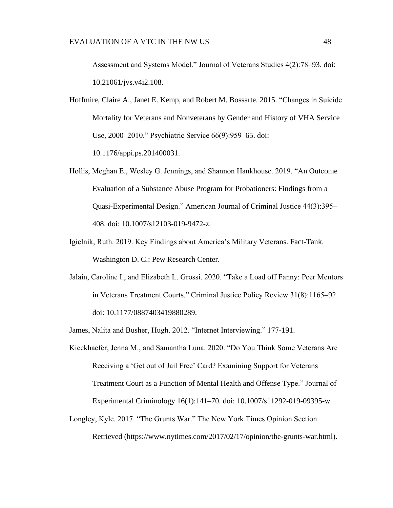Assessment and Systems Model." Journal of Veterans Studies 4(2):78–93. doi: 10.21061/jvs.v4i2.108.

Hoffmire, Claire A., Janet E. Kemp, and Robert M. Bossarte. 2015. "Changes in Suicide Mortality for Veterans and Nonveterans by Gender and History of VHA Service Use, 2000–2010." Psychiatric Service 66(9):959–65. doi:

10.1176/appi.ps.201400031.

- Hollis, Meghan E., Wesley G. Jennings, and Shannon Hankhouse. 2019. "An Outcome Evaluation of a Substance Abuse Program for Probationers: Findings from a Quasi-Experimental Design." American Journal of Criminal Justice 44(3):395– 408. doi: 10.1007/s12103-019-9472-z.
- Igielnik, Ruth. 2019. Key Findings about America's Military Veterans. Fact-Tank. Washington D. C.: Pew Research Center.
- Jalain, Caroline I., and Elizabeth L. Grossi. 2020. "Take a Load off Fanny: Peer Mentors in Veterans Treatment Courts." Criminal Justice Policy Review 31(8):1165–92. doi: 10.1177/0887403419880289.
- James, Nalita and Busher, Hugh. 2012. "Internet Interviewing." 177-191.
- Kieckhaefer, Jenna M., and Samantha Luna. 2020. "Do You Think Some Veterans Are Receiving a 'Get out of Jail Free' Card? Examining Support for Veterans Treatment Court as a Function of Mental Health and Offense Type." Journal of Experimental Criminology 16(1):141–70. doi: 10.1007/s11292-019-09395-w.
- Longley, Kyle. 2017. "The Grunts War." The New York Times Opinion Section. Retrieved (https://www.nytimes.com/2017/02/17/opinion/the-grunts-war.html).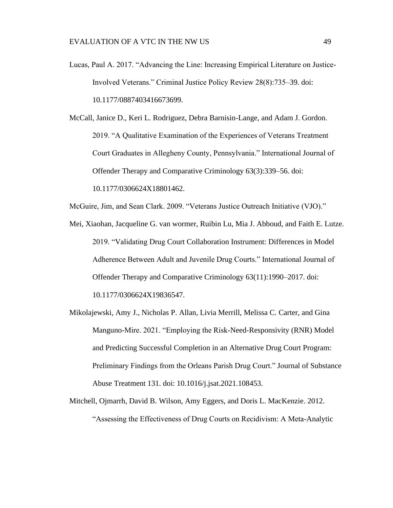Lucas, Paul A. 2017. "Advancing the Line: Increasing Empirical Literature on Justice-Involved Veterans." Criminal Justice Policy Review 28(8):735–39. doi: 10.1177/0887403416673699.

McCall, Janice D., Keri L. Rodriguez, Debra Barnisin-Lange, and Adam J. Gordon. 2019. "A Qualitative Examination of the Experiences of Veterans Treatment Court Graduates in Allegheny County, Pennsylvania." International Journal of Offender Therapy and Comparative Criminology 63(3):339–56. doi: 10.1177/0306624X18801462.

McGuire, Jim, and Sean Clark. 2009. "Veterans Justice Outreach Initiative (VJO)."

- Mei, Xiaohan, Jacqueline G. van wormer, Ruibin Lu, Mia J. Abboud, and Faith E. Lutze. 2019. "Validating Drug Court Collaboration Instrument: Differences in Model Adherence Between Adult and Juvenile Drug Courts." International Journal of Offender Therapy and Comparative Criminology 63(11):1990–2017. doi: 10.1177/0306624X19836547.
- Mikolajewski, Amy J., Nicholas P. Allan, Livia Merrill, Melissa C. Carter, and Gina Manguno-Mire. 2021. "Employing the Risk-Need-Responsivity (RNR) Model and Predicting Successful Completion in an Alternative Drug Court Program: Preliminary Findings from the Orleans Parish Drug Court." Journal of Substance Abuse Treatment 131. doi: 10.1016/j.jsat.2021.108453.
- Mitchell, Ojmarrh, David B. Wilson, Amy Eggers, and Doris L. MacKenzie. 2012. "Assessing the Effectiveness of Drug Courts on Recidivism: A Meta-Analytic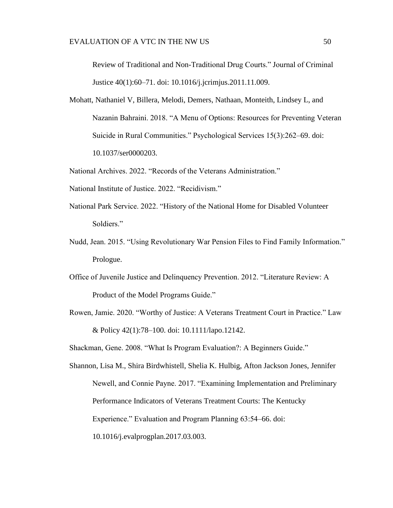Review of Traditional and Non-Traditional Drug Courts." Journal of Criminal Justice 40(1):60–71. doi: 10.1016/j.jcrimjus.2011.11.009.

Mohatt, Nathaniel V, Billera, Melodi, Demers, Nathaan, Monteith, Lindsey L, and Nazanin Bahraini. 2018. "A Menu of Options: Resources for Preventing Veteran Suicide in Rural Communities." Psychological Services 15(3):262–69. doi: 10.1037/ser0000203.

National Archives. 2022. "Records of the Veterans Administration."

- National Institute of Justice. 2022. "Recidivism."
- National Park Service. 2022. "History of the National Home for Disabled Volunteer Soldiers."
- Nudd, Jean. 2015. "Using Revolutionary War Pension Files to Find Family Information." Prologue.
- Office of Juvenile Justice and Delinquency Prevention. 2012. "Literature Review: A Product of the Model Programs Guide."
- Rowen, Jamie. 2020. "Worthy of Justice: A Veterans Treatment Court in Practice." Law & Policy 42(1):78–100. doi: 10.1111/lapo.12142.

Shackman, Gene. 2008. "What Is Program Evaluation?: A Beginners Guide."

Shannon, Lisa M., Shira Birdwhistell, Shelia K. Hulbig, Afton Jackson Jones, Jennifer Newell, and Connie Payne. 2017. "Examining Implementation and Preliminary Performance Indicators of Veterans Treatment Courts: The Kentucky Experience." Evaluation and Program Planning 63:54–66. doi: 10.1016/j.evalprogplan.2017.03.003.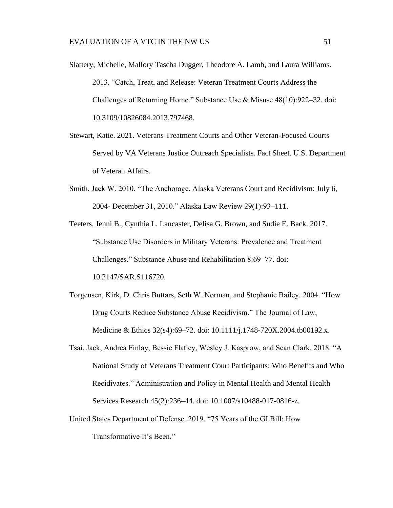- Slattery, Michelle, Mallory Tascha Dugger, Theodore A. Lamb, and Laura Williams. 2013. "Catch, Treat, and Release: Veteran Treatment Courts Address the Challenges of Returning Home." Substance Use & Misuse 48(10):922–32. doi: 10.3109/10826084.2013.797468.
- Stewart, Katie. 2021. Veterans Treatment Courts and Other Veteran-Focused Courts Served by VA Veterans Justice Outreach Specialists. Fact Sheet. U.S. Department of Veteran Affairs.
- Smith, Jack W. 2010. "The Anchorage, Alaska Veterans Court and Recidivism: July 6, 2004- December 31, 2010." Alaska Law Review 29(1):93–111.

Teeters, Jenni B., Cynthia L. Lancaster, Delisa G. Brown, and Sudie E. Back. 2017. "Substance Use Disorders in Military Veterans: Prevalence and Treatment Challenges." Substance Abuse and Rehabilitation 8:69–77. doi: 10.2147/SAR.S116720.

- Torgensen, Kirk, D. Chris Buttars, Seth W. Norman, and Stephanie Bailey. 2004. "How Drug Courts Reduce Substance Abuse Recidivism." The Journal of Law, Medicine & Ethics 32(s4):69–72. doi: 10.1111/j.1748-720X.2004.tb00192.x.
- Tsai, Jack, Andrea Finlay, Bessie Flatley, Wesley J. Kasprow, and Sean Clark. 2018. "A National Study of Veterans Treatment Court Participants: Who Benefits and Who Recidivates." Administration and Policy in Mental Health and Mental Health Services Research 45(2):236–44. doi: 10.1007/s10488-017-0816-z.
- United States Department of Defense. 2019. "75 Years of the GI Bill: How Transformative It's Been."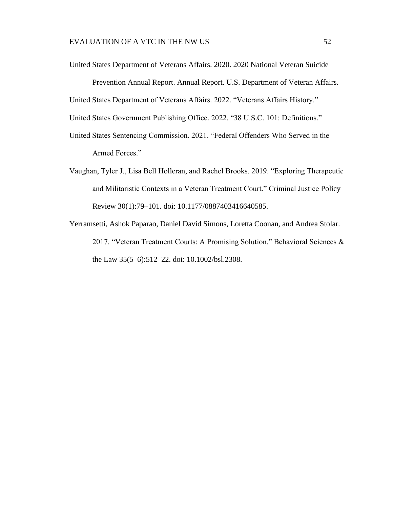United States Department of Veterans Affairs. 2020. 2020 National Veteran Suicide Prevention Annual Report. Annual Report. U.S. Department of Veteran Affairs. United States Department of Veterans Affairs. 2022. "Veterans Affairs History." United States Government Publishing Office. 2022. "38 U.S.C. 101: Definitions."

- United States Sentencing Commission. 2021. "Federal Offenders Who Served in the Armed Forces."
- Vaughan, Tyler J., Lisa Bell Holleran, and Rachel Brooks. 2019. "Exploring Therapeutic and Militaristic Contexts in a Veteran Treatment Court." Criminal Justice Policy Review 30(1):79–101. doi: 10.1177/0887403416640585.
- Yerramsetti, Ashok Paparao, Daniel David Simons, Loretta Coonan, and Andrea Stolar. 2017. "Veteran Treatment Courts: A Promising Solution." Behavioral Sciences & the Law 35(5–6):512–22. doi: 10.1002/bsl.2308.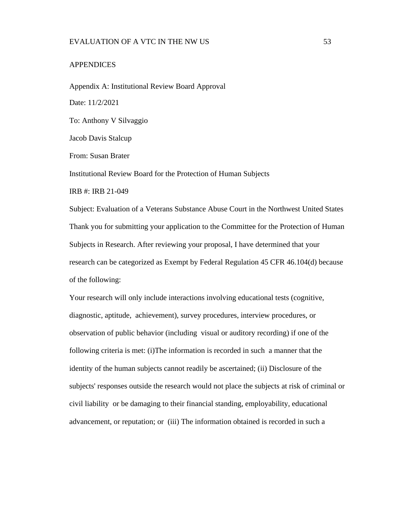#### <span id="page-59-0"></span>**APPENDICES**

<span id="page-59-1"></span>Appendix A: Institutional Review Board Approval Date: 11/2/2021 To: Anthony V Silvaggio Jacob Davis Stalcup From: Susan Brater Institutional Review Board for the Protection of Human Subjects IRB #: IRB 21-049

Subject: Evaluation of a Veterans Substance Abuse Court in the Northwest United States Thank you for submitting your application to the Committee for the Protection of Human Subjects in Research. After reviewing your proposal, I have determined that your research can be categorized as Exempt by Federal Regulation 45 CFR 46.104(d) because of the following:

Your research will only include interactions involving educational tests (cognitive, diagnostic, aptitude, achievement), survey procedures, interview procedures, or observation of public behavior (including visual or auditory recording) if one of the following criteria is met: (i)The information is recorded in such a manner that the identity of the human subjects cannot readily be ascertained; (ii) Disclosure of the subjects' responses outside the research would not place the subjects at risk of criminal or civil liability or be damaging to their financial standing, employability, educational advancement, or reputation; or (iii) The information obtained is recorded in such a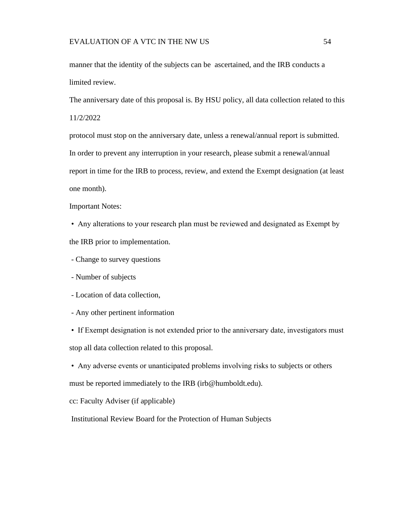#### EVALUATION OF A VTC IN THE NW US 54

manner that the identity of the subjects can be ascertained, and the IRB conducts a limited review.

The anniversary date of this proposal is. By HSU policy, all data collection related to this 11/2/2022

protocol must stop on the anniversary date, unless a renewal/annual report is submitted. In order to prevent any interruption in your research, please submit a renewal/annual report in time for the IRB to process, review, and extend the Exempt designation (at least one month).

Important Notes:

• Any alterations to your research plan must be reviewed and designated as Exempt by the IRB prior to implementation.

- Change to survey questions

- Number of subjects

- Location of data collection,

- Any other pertinent information

• If Exempt designation is not extended prior to the anniversary date, investigators must stop all data collection related to this proposal.

• Any adverse events or unanticipated problems involving risks to subjects or others must be reported immediately to the IRB (irb@humboldt.edu).

cc: Faculty Adviser (if applicable)

Institutional Review Board for the Protection of Human Subjects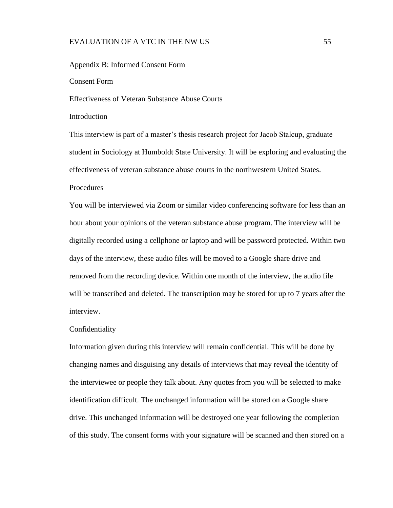## EVALUATION OF A VTC IN THE NW US 55

#### <span id="page-61-0"></span>Appendix B: Informed Consent Form

Consent Form

Effectiveness of Veteran Substance Abuse Courts

# Introduction

This interview is part of a master's thesis research project for Jacob Stalcup, graduate student in Sociology at Humboldt State University. It will be exploring and evaluating the effectiveness of veteran substance abuse courts in the northwestern United States.

#### **Procedures**

You will be interviewed via Zoom or similar video conferencing software for less than an hour about your opinions of the veteran substance abuse program. The interview will be digitally recorded using a cellphone or laptop and will be password protected. Within two days of the interview, these audio files will be moved to a Google share drive and removed from the recording device. Within one month of the interview, the audio file will be transcribed and deleted. The transcription may be stored for up to 7 years after the interview.

#### Confidentiality

Information given during this interview will remain confidential. This will be done by changing names and disguising any details of interviews that may reveal the identity of the interviewee or people they talk about. Any quotes from you will be selected to make identification difficult. The unchanged information will be stored on a Google share drive. This unchanged information will be destroyed one year following the completion of this study. The consent forms with your signature will be scanned and then stored on a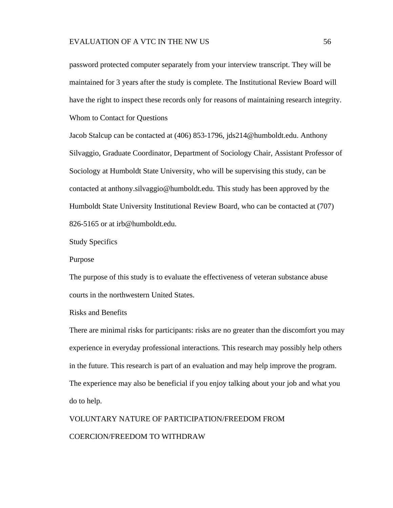password protected computer separately from your interview transcript. They will be maintained for 3 years after the study is complete. The Institutional Review Board will have the right to inspect these records only for reasons of maintaining research integrity. Whom to Contact for Questions

Jacob Stalcup can be contacted at (406) 853-1796, jds214@humboldt.edu. Anthony Silvaggio, Graduate Coordinator, Department of Sociology Chair, Assistant Professor of Sociology at Humboldt State University, who will be supervising this study, can be contacted at anthony.silvaggio@humboldt.edu. This study has been approved by the Humboldt State University Institutional Review Board, who can be contacted at (707) 826-5165 or at irb@humboldt.edu.

Study Specifics

Purpose

The purpose of this study is to evaluate the effectiveness of veteran substance abuse courts in the northwestern United States.

Risks and Benefits

There are minimal risks for participants: risks are no greater than the discomfort you may experience in everyday professional interactions. This research may possibly help others in the future. This research is part of an evaluation and may help improve the program. The experience may also be beneficial if you enjoy talking about your job and what you do to help.

VOLUNTARY NATURE OF PARTICIPATION/FREEDOM FROM COERCION/FREEDOM TO WITHDRAW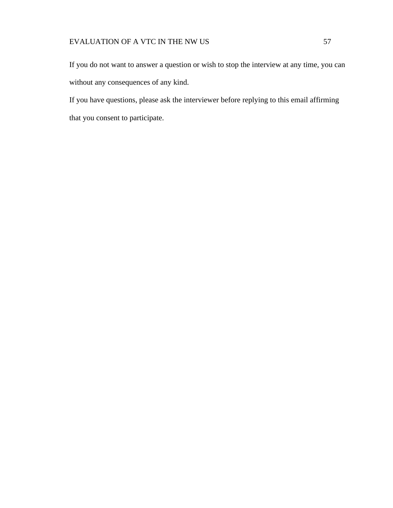If you do not want to answer a question or wish to stop the interview at any time, you can without any consequences of any kind.

If you have questions, please ask the interviewer before replying to this email affirming that you consent to participate.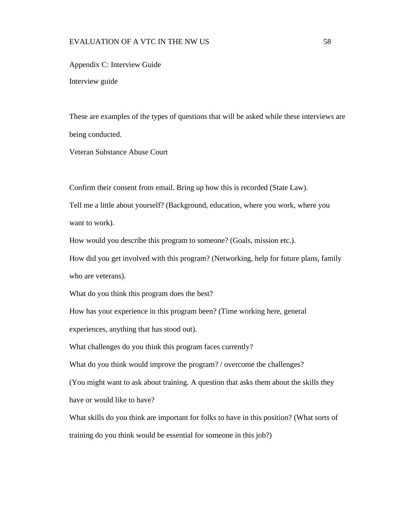# EVALUATION OF A VTC IN THE NW US 58

<span id="page-64-0"></span>Appendix C: Interview Guide Interview guide

These are examples of the types of questions that will be asked while these interviews are being conducted.

Veteran Substance Abuse Court

Confirm their consent from email. Bring up how this is recorded (State Law).

Tell me a little about yourself? (Background, education, where you work, where you want to work).

How would you describe this program to someone? (Goals, mission etc.).

How did you get involved with this program? (Networking, help for future plans, family who are veterans).

What do you think this program does the best?

How has your experience in this program been? (Time working here, general

experiences, anything that has stood out).

What challenges do you think this program faces currently?

What do you think would improve the program? / overcome the challenges?

(You might want to ask about training. A question that asks them about the skills they have or would like to have?

What skills do you think are important for folks to have in this position? (What sorts of training do you think would be essential for someone in this job?)